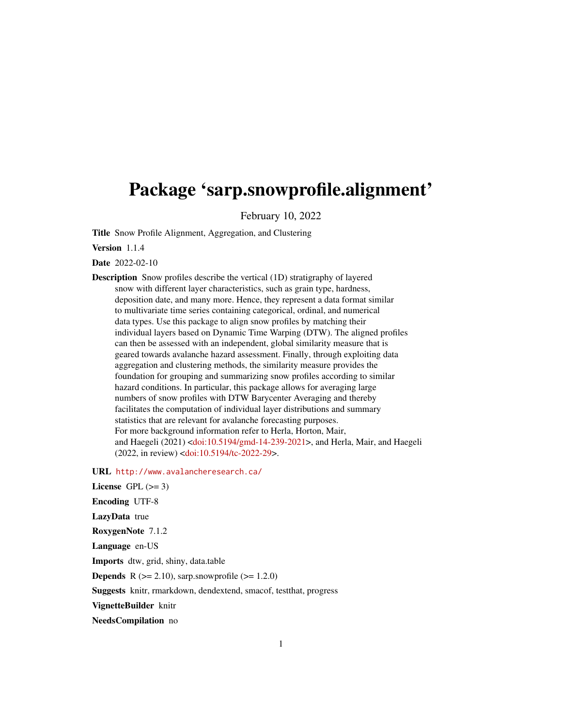# <span id="page-0-0"></span>Package 'sarp.snowprofile.alignment'

February 10, 2022

Title Snow Profile Alignment, Aggregation, and Clustering

Version 1.1.4

Date 2022-02-10

Description Snow profiles describe the vertical (1D) stratigraphy of layered snow with different layer characteristics, such as grain type, hardness, deposition date, and many more. Hence, they represent a data format similar to multivariate time series containing categorical, ordinal, and numerical data types. Use this package to align snow profiles by matching their individual layers based on Dynamic Time Warping (DTW). The aligned profiles can then be assessed with an independent, global similarity measure that is geared towards avalanche hazard assessment. Finally, through exploiting data aggregation and clustering methods, the similarity measure provides the foundation for grouping and summarizing snow profiles according to similar hazard conditions. In particular, this package allows for averaging large numbers of snow profiles with DTW Barycenter Averaging and thereby facilitates the computation of individual layer distributions and summary statistics that are relevant for avalanche forecasting purposes. For more background information refer to Herla, Horton, Mair, and Haegeli (2021) [<doi:10.5194/gmd-14-239-2021>](https://doi.org/10.5194/gmd-14-239-2021), and Herla, Mair, and Haegeli (2022, in review) [<doi:10.5194/tc-2022-29>](https://doi.org/10.5194/tc-2022-29).

URL <http://www.avalancheresearch.ca/>

License GPL  $(>= 3)$ Encoding UTF-8 LazyData true RoxygenNote 7.1.2 Language en-US Imports dtw, grid, shiny, data.table **Depends** R  $(>= 2.10)$ , sarp.snowprofile  $(>= 1.2.0)$ Suggests knitr, rmarkdown, dendextend, smacof, testthat, progress VignetteBuilder knitr

NeedsCompilation no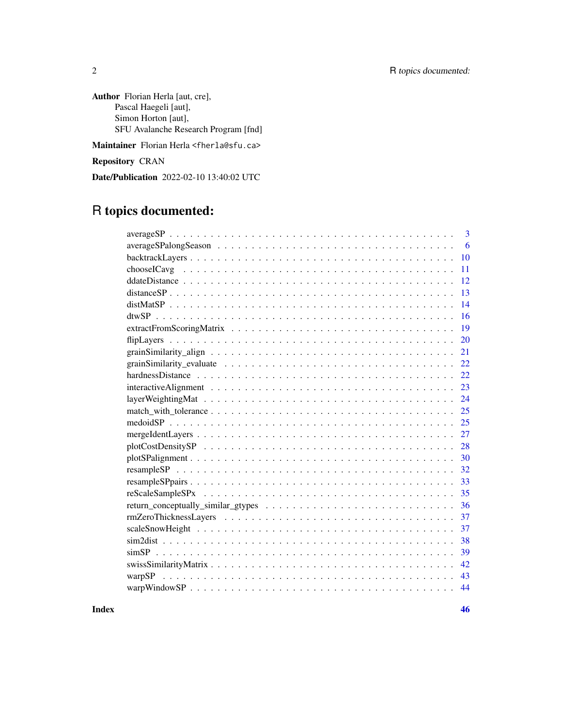Author Florian Herla [aut, cre], Pascal Haegeli [aut], Simon Horton [aut], SFU Avalanche Research Program [fnd]

Maintainer Florian Herla <fherla@sfu.ca>

Repository CRAN

Date/Publication 2022-02-10 13:40:02 UTC

# R topics documented:

| 3                                                                                                                     |
|-----------------------------------------------------------------------------------------------------------------------|
| 6                                                                                                                     |
| 10                                                                                                                    |
| 11                                                                                                                    |
| 12                                                                                                                    |
| 13                                                                                                                    |
| 14                                                                                                                    |
| 16                                                                                                                    |
| 19                                                                                                                    |
| 20                                                                                                                    |
| 21                                                                                                                    |
| grain Similarity_evaluate $\ldots \ldots \ldots \ldots \ldots \ldots \ldots \ldots \ldots \ldots \ldots \ldots$<br>22 |
| 22                                                                                                                    |
| 23                                                                                                                    |
| 24                                                                                                                    |
| 25                                                                                                                    |
| 25                                                                                                                    |
| 27                                                                                                                    |
| 28                                                                                                                    |
| 30                                                                                                                    |
| 32                                                                                                                    |
| 33                                                                                                                    |
| 35                                                                                                                    |
| 36                                                                                                                    |
| 37                                                                                                                    |
| 37                                                                                                                    |
| 38                                                                                                                    |
| 39                                                                                                                    |
| 42                                                                                                                    |
| 43                                                                                                                    |
| 44                                                                                                                    |
|                                                                                                                       |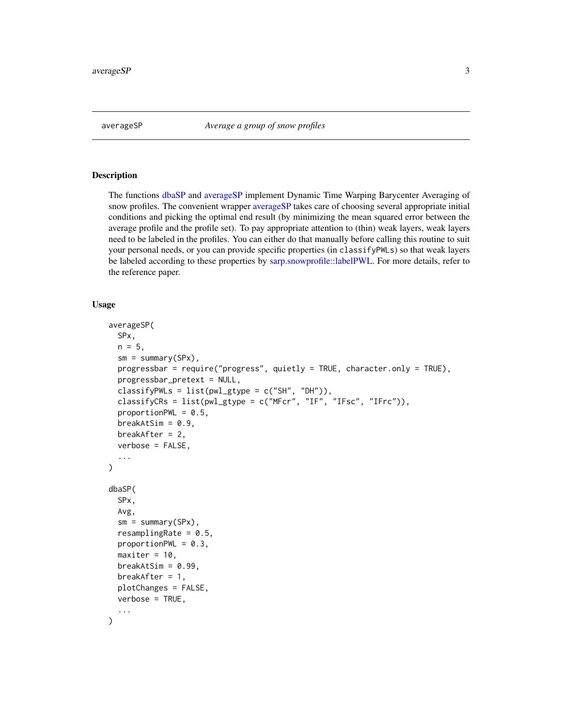<span id="page-2-2"></span><span id="page-2-0"></span>

#### <span id="page-2-1"></span>Description

The functions [dbaSP](#page-2-1) and [averageSP](#page-2-2) implement Dynamic Time Warping Barycenter Averaging of snow profiles. The convenient wrapper [averageSP](#page-2-2) takes care of choosing several appropriate initial conditions and picking the optimal end result (by minimizing the mean squared error between the average profile and the profile set). To pay appropriate attention to (thin) weak layers, weak layers need to be labeled in the profiles. You can either do that manually before calling this routine to suit your personal needs, or you can provide specific properties (in classifyPWLs) so that weak layers be labeled according to these properties by [sarp.snowprofile::labelPWL.](#page-0-0) For more details, refer to the reference paper.

#### Usage

```
averageSP(
  SPx,
 n = 5,
  sm = summary(SPx),
 progressbar = require("progress", quietly = TRUE, character.only = TRUE),
 progressbar_pretext = NULL,
  classifyPWLs = list(pwl_gtype = c("SH", "DH")),
  classifyCRs = list(pwl_gtype = c("MFcr", "IF", "IFsc", "IFrc")),
  proportionPWL = 0.5,
  breakAtSim = 0.9,breakAfter = 2,
  verbose = FALSE,
  ...
\mathcal{L}dbaSP(
  SPx,
 Avg,
  sm = summary(SPx),
  resamplingRate = 0.5,proportionPWL = 0.3,
 maxiter = 10,
 breakAtSim = 0.99,
 breakAfter = 1,
 plotChanges = FALSE,
 verbose = TRUE,
  ...
)
```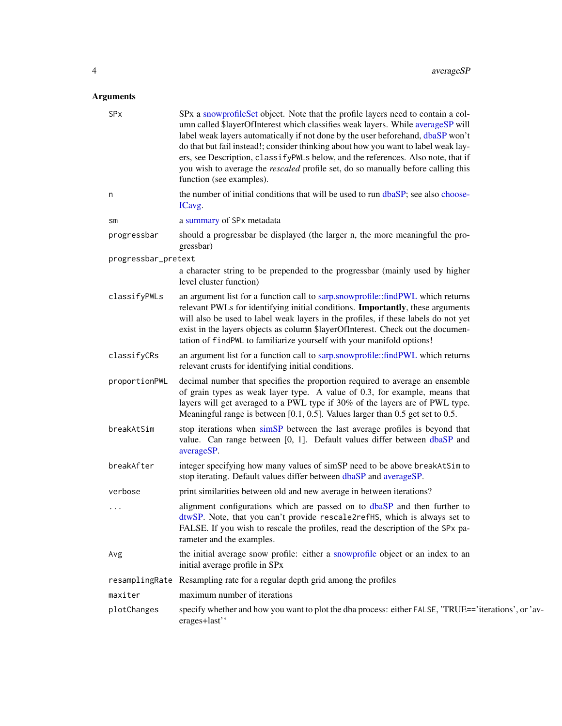<span id="page-3-0"></span>

| SPx                 | SPx a snowprofile Set object. Note that the profile layers need to contain a col-<br>umn called \$layerOfInterest which classifies weak layers. While averageSP will<br>label weak layers automatically if not done by the user beforehand, dbaSP won't<br>do that but fail instead!; consider thinking about how you want to label weak lay-<br>ers, see Description, classifyPWLs below, and the references. Also note, that if<br>you wish to average the <i>rescaled</i> profile set, do so manually before calling this<br>function (see examples). |
|---------------------|----------------------------------------------------------------------------------------------------------------------------------------------------------------------------------------------------------------------------------------------------------------------------------------------------------------------------------------------------------------------------------------------------------------------------------------------------------------------------------------------------------------------------------------------------------|
| n                   | the number of initial conditions that will be used to run dbaSP; see also choose-<br>ICavg.                                                                                                                                                                                                                                                                                                                                                                                                                                                              |
| SM                  | a summary of SPx metadata                                                                                                                                                                                                                                                                                                                                                                                                                                                                                                                                |
| progressbar         | should a progressbar be displayed (the larger n, the more meaningful the pro-<br>gressbar)                                                                                                                                                                                                                                                                                                                                                                                                                                                               |
| progressbar_pretext |                                                                                                                                                                                                                                                                                                                                                                                                                                                                                                                                                          |
|                     | a character string to be prepended to the progressbar (mainly used by higher<br>level cluster function)                                                                                                                                                                                                                                                                                                                                                                                                                                                  |
| classifyPWLs        | an argument list for a function call to sarp.snowprofile::findPWL which returns<br>relevant PWLs for identifying initial conditions. Importantly, these arguments<br>will also be used to label weak layers in the profiles, if these labels do not yet<br>exist in the layers objects as column \$layerOfInterest. Check out the documen-<br>tation of findPWL to familiarize yourself with your manifold options!                                                                                                                                      |
| classifyCRs         | an argument list for a function call to sarp.snowprofile::findPWL which returns<br>relevant crusts for identifying initial conditions.                                                                                                                                                                                                                                                                                                                                                                                                                   |
| proportionPWL       | decimal number that specifies the proportion required to average an ensemble<br>of grain types as weak layer type. A value of 0.3, for example, means that<br>layers will get averaged to a PWL type if 30% of the layers are of PWL type.<br>Meaningful range is between $[0.1, 0.5]$ . Values larger than 0.5 get set to 0.5.                                                                                                                                                                                                                          |
| breakAtSim          | stop iterations when simSP between the last average profiles is beyond that<br>value. Can range between [0, 1]. Default values differ between dbaSP and<br>averageSP.                                                                                                                                                                                                                                                                                                                                                                                    |
| breakAfter          | integer specifying how many values of simSP need to be above breakAtSim to<br>stop iterating. Default values differ between dbaSP and averageSP.                                                                                                                                                                                                                                                                                                                                                                                                         |
| verbose             | print similarities between old and new average in between iterations?                                                                                                                                                                                                                                                                                                                                                                                                                                                                                    |
| .                   | alignment configurations which are passed on to dbaSP and then further to<br>dtwSP. Note, that you can't provide rescale2refHS, which is always set to<br>FALSE. If you wish to rescale the profiles, read the description of the SPx pa-<br>rameter and the examples.                                                                                                                                                                                                                                                                                   |
| Avg                 | the initial average snow profile: either a snowprofile object or an index to an<br>initial average profile in SPx                                                                                                                                                                                                                                                                                                                                                                                                                                        |
|                     | resamplingRate Resampling rate for a regular depth grid among the profiles                                                                                                                                                                                                                                                                                                                                                                                                                                                                               |
| maxiter             | maximum number of iterations                                                                                                                                                                                                                                                                                                                                                                                                                                                                                                                             |
| plotChanges         | specify whether and how you want to plot the dba process: either FALSE, 'TRUE=='iterations', or 'av-<br>erages+last'                                                                                                                                                                                                                                                                                                                                                                                                                                     |
|                     |                                                                                                                                                                                                                                                                                                                                                                                                                                                                                                                                                          |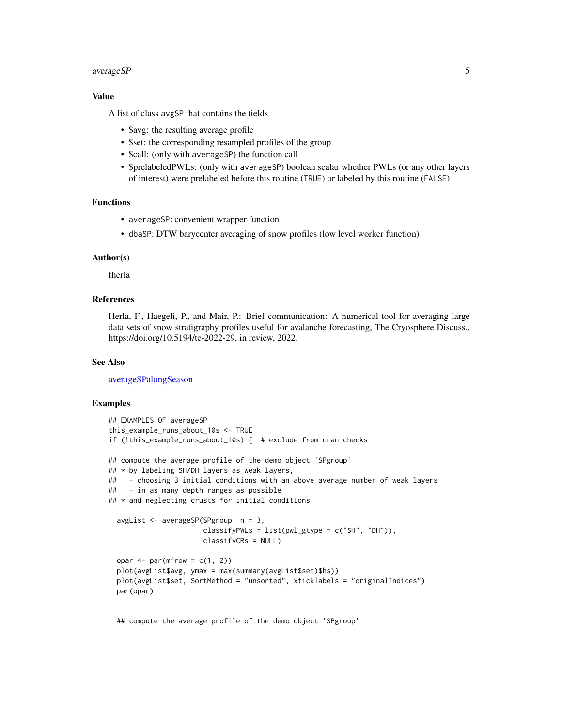#### <span id="page-4-0"></span>averageSP 5

#### Value

A list of class avgSP that contains the fields

- \$avg: the resulting average profile
- \$set: the corresponding resampled profiles of the group
- \$call: (only with averageSP) the function call
- \$prelabeledPWLs: (only with averageSP) boolean scalar whether PWLs (or any other layers of interest) were prelabeled before this routine (TRUE) or labeled by this routine (FALSE)

# Functions

- averageSP: convenient wrapper function
- dbaSP: DTW barycenter averaging of snow profiles (low level worker function)

#### Author(s)

fherla

# References

Herla, F., Haegeli, P., and Mair, P.: Brief communication: A numerical tool for averaging large data sets of snow stratigraphy profiles useful for avalanche forecasting, The Cryosphere Discuss., https://doi.org/10.5194/tc-2022-29, in review, 2022.

#### See Also

[averageSPalongSeason](#page-5-1)

#### Examples

```
## EXAMPLES OF averageSP
this_example_runs_about_10s <- TRUE
if (!this_example_runs_about_10s) { # exclude from cran checks
## compute the average profile of the demo object 'SPgroup'
## * by labeling SH/DH layers as weak layers,
## - choosing 3 initial conditions with an above average number of weak layers
## - in as many depth ranges as possible
## * and neglecting crusts for initial conditions
 avgList <- averageSP(SPgroup, n = 3,
                      classifyPWLs = list(pwl_gtype = c("SH", "DH")),
                       classifyCRs = NULL)
 opar \leq par(mfrow = c(1, 2))
 plot(avgList$avg, ymax = max(summary(avgList$set)$hs))
 plot(avgList$set, SortMethod = "unsorted", xticklabels = "originalIndices")
 par(opar)
```
## compute the average profile of the demo object 'SPgroup'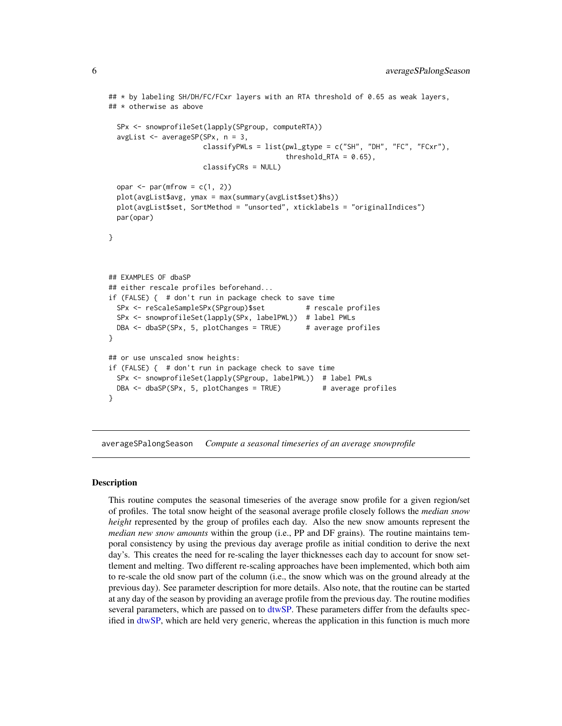```
## * by labeling SH/DH/FC/FCxr layers with an RTA threshold of 0.65 as weak layers,
## * otherwise as above
 SPx <- snowprofileSet(lapply(SPgroup, computeRTA))
 avgList <- averageSP(SPx, n = 3,
                      classifyPWLs = list(pwl_gtype = c("SH", "DH", "FC", "FCxr"),
                                          threshold_RTA = 0.65),
                      classifyCRs = NULL)
 opar \leq par(mfrow = c(1, 2))
 plot(avgList$avg, ymax = max(summary(avgList$set)$hs))
 plot(avgList$set, SortMethod = "unsorted", xticklabels = "originalIndices")
 par(opar)
}
## EXAMPLES OF dbaSP
## either rescale profiles beforehand...
if (FALSE) { # don't run in package check to save time
 SPx <- reScaleSampleSPx(SPgroup)$set # rescale profiles
 SPx <- snowprofileSet(lapply(SPx, labelPWL)) # label PWLs
 DBA <- dbaSP(SPx, 5, plotChanges = TRUE) # average profiles
}
## or use unscaled snow heights:
if (FALSE) { # don't run in package check to save time
 SPx <- snowprofileSet(lapply(SPgroup, labelPWL)) # label PWLs
 DBA <- dbaSP(SPx, 5, plotChanges = TRUE) # average profiles
}
```
<span id="page-5-1"></span>averageSPalongSeason *Compute a seasonal timeseries of an average snowprofile*

#### Description

This routine computes the seasonal timeseries of the average snow profile for a given region/set of profiles. The total snow height of the seasonal average profile closely follows the *median snow height* represented by the group of profiles each day. Also the new snow amounts represent the *median new snow amounts* within the group (i.e., PP and DF grains). The routine maintains temporal consistency by using the previous day average profile as initial condition to derive the next day's. This creates the need for re-scaling the layer thicknesses each day to account for snow settlement and melting. Two different re-scaling approaches have been implemented, which both aim to re-scale the old snow part of the column (i.e., the snow which was on the ground already at the previous day). See parameter description for more details. Also note, that the routine can be started at any day of the season by providing an average profile from the previous day. The routine modifies several parameters, which are passed on to [dtwSP.](#page-15-1) These parameters differ from the defaults specified in [dtwSP,](#page-15-1) which are held very generic, whereas the application in this function is much more

<span id="page-5-0"></span>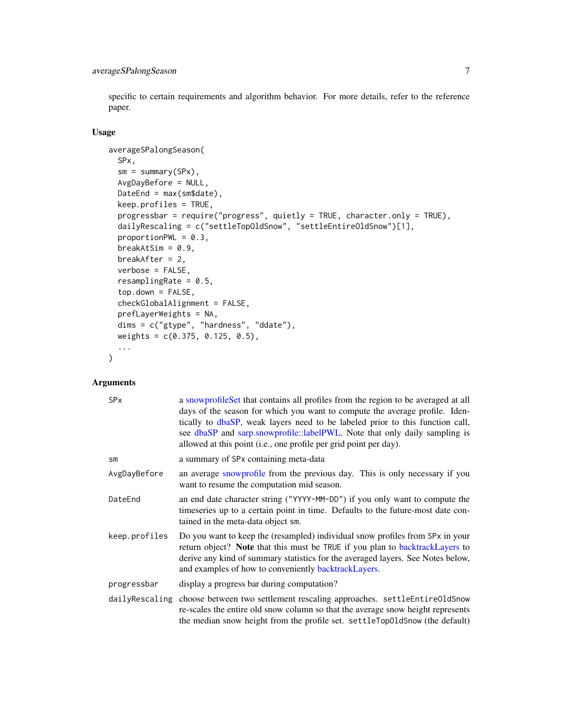<span id="page-6-0"></span>specific to certain requirements and algorithm behavior. For more details, refer to the reference paper.

#### Usage

```
averageSPalongSeason(
 SPx,
 sm = summary(SPx),AvgDayBefore = NULL,
 DateEnd = max(sm$date),
 keep.profiles = TRUE,
 progressbar = require("progress", quietly = TRUE, character.only = TRUE),
 dailyRescaling = c("settleTopOldSnow", "settleEntireOldSnow")[1],
 proportionPWL = 0.3,
 breakAtSim = 0.9,
 breakAfter = 2,
 verbose = FALSE,
 resamplingRate = 0.5,
  top.down = FALSE,
 checkGlobalAlignment = FALSE,
 prefLayerWeights = NA,
 dims = c("gtype", "hardness", "ddate"),
 weights = c(0.375, 0.125, 0.5),
  ...
)
```

| <b>SP<sub>x</sub></b> | a snowprofile Set that contains all profiles from the region to be averaged at all<br>days of the season for which you want to compute the average profile. Iden-<br>tically to dbaSP, weak layers need to be labeled prior to this function call,<br>see dbaSP and sarp.snowprofile::labelPWL. Note that only daily sampling is<br>allowed at this point (i.e., one profile per grid point per day). |
|-----------------------|-------------------------------------------------------------------------------------------------------------------------------------------------------------------------------------------------------------------------------------------------------------------------------------------------------------------------------------------------------------------------------------------------------|
| $\mathsf{sm}$         | a summary of SPx containing meta-data                                                                                                                                                                                                                                                                                                                                                                 |
| AvgDayBefore          | an average snowprofile from the previous day. This is only necessary if you<br>want to resume the computation mid season.                                                                                                                                                                                                                                                                             |
| DateEnd               | an end date character string ("YYYY-MM-DD") if you only want to compute the<br>timeseries up to a certain point in time. Defaults to the future-most date con-<br>tained in the meta-data object sm.                                                                                                                                                                                                  |
| keep.profiles         | Do you want to keep the (resampled) individual snow profiles from SPx in your<br>return object? Note that this must be TRUE if you plan to backtrackLayers to<br>derive any kind of summary statistics for the averaged layers. See Notes below,<br>and examples of how to conveniently backtrackLayers.                                                                                              |
| progressbar           | display a progress bar during computation?                                                                                                                                                                                                                                                                                                                                                            |
|                       | dailyRescaling choose between two settlement rescaling approaches. settleEntireOldSnow<br>re-scales the entire old snow column so that the average snow height represents<br>the median snow height from the profile set. settleTopOldSnow (the default)                                                                                                                                              |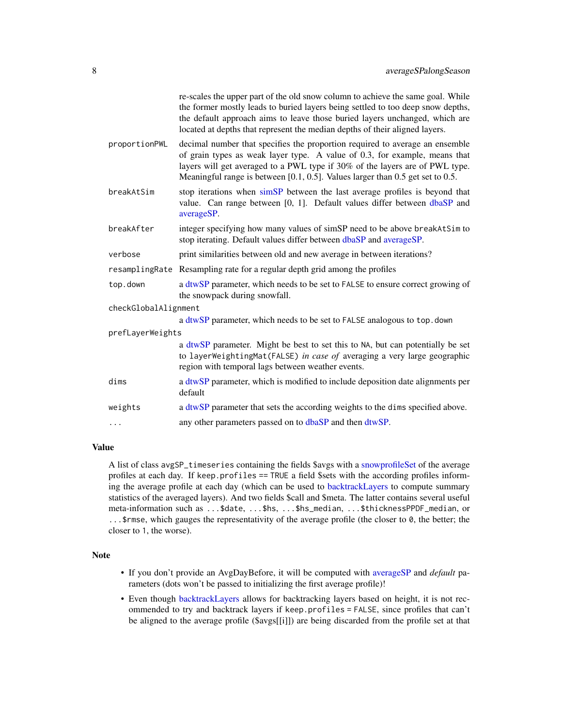<span id="page-7-0"></span>

|                      | re-scales the upper part of the old snow column to achieve the same goal. While<br>the former mostly leads to buried layers being settled to too deep snow depths,<br>the default approach aims to leave those buried layers unchanged, which are<br>located at depths that represent the median depths of their aligned layers. |
|----------------------|----------------------------------------------------------------------------------------------------------------------------------------------------------------------------------------------------------------------------------------------------------------------------------------------------------------------------------|
| proportionPWL        | decimal number that specifies the proportion required to average an ensemble<br>of grain types as weak layer type. A value of 0.3, for example, means that<br>layers will get averaged to a PWL type if 30% of the layers are of PWL type.<br>Meaningful range is between $[0.1, 0.5]$ . Values larger than 0.5 get set to 0.5.  |
| breakAtSim           | stop iterations when simSP between the last average profiles is beyond that<br>value. Can range between [0, 1]. Default values differ between dbaSP and<br>averageSP.                                                                                                                                                            |
| breakAfter           | integer specifying how many values of simSP need to be above breakAtSim to<br>stop iterating. Default values differ between dbaSP and averageSP.                                                                                                                                                                                 |
| verbose              | print similarities between old and new average in between iterations?                                                                                                                                                                                                                                                            |
|                      | resamplingRate Resampling rate for a regular depth grid among the profiles                                                                                                                                                                                                                                                       |
| top.down             | a dtwSP parameter, which needs to be set to FALSE to ensure correct growing of<br>the snowpack during snowfall.                                                                                                                                                                                                                  |
| checkGlobalAlignment |                                                                                                                                                                                                                                                                                                                                  |
|                      | a dtwSP parameter, which needs to be set to FALSE analogous to top.down                                                                                                                                                                                                                                                          |
| prefLayerWeights     |                                                                                                                                                                                                                                                                                                                                  |
|                      | a dtwSP parameter. Might be best to set this to NA, but can potentially be set<br>to layerWeightingMat(FALSE) in case of averaging a very large geographic<br>region with temporal lags between weather events.                                                                                                                  |
| dims                 | a dtwSP parameter, which is modified to include deposition date alignments per<br>default                                                                                                                                                                                                                                        |
| weights              | a dtwSP parameter that sets the according weights to the dims specified above.                                                                                                                                                                                                                                                   |
| .                    | any other parameters passed on to dbaSP and then dtwSP.                                                                                                                                                                                                                                                                          |
|                      |                                                                                                                                                                                                                                                                                                                                  |

#### Value

A list of class avgSP\_timeseries containing the fields \$avgs with a [snowprofileSet](#page-0-0) of the average profiles at each day. If keep.profiles == TRUE a field \$sets with the according profiles informing the average profile at each day (which can be used to [backtrackLayers](#page-9-1) to compute summary statistics of the averaged layers). And two fields \$call and \$meta. The latter contains several useful meta-information such as ...\$date, ...\$hs, ...\$hs\_median, ...\$thicknessPPDF\_median, or ...\$rmse, which gauges the representativity of the average profile (the closer to 0, the better; the closer to 1, the worse).

# Note

- If you don't provide an AvgDayBefore, it will be computed with [averageSP](#page-2-2) and *default* parameters (dots won't be passed to initializing the first average profile)!
- Even though [backtrackLayers](#page-9-1) allows for backtracking layers based on height, it is not recommended to try and backtrack layers if keep.profiles = FALSE, since profiles that can't be aligned to the average profile (\$avgs[[i]]) are being discarded from the profile set at that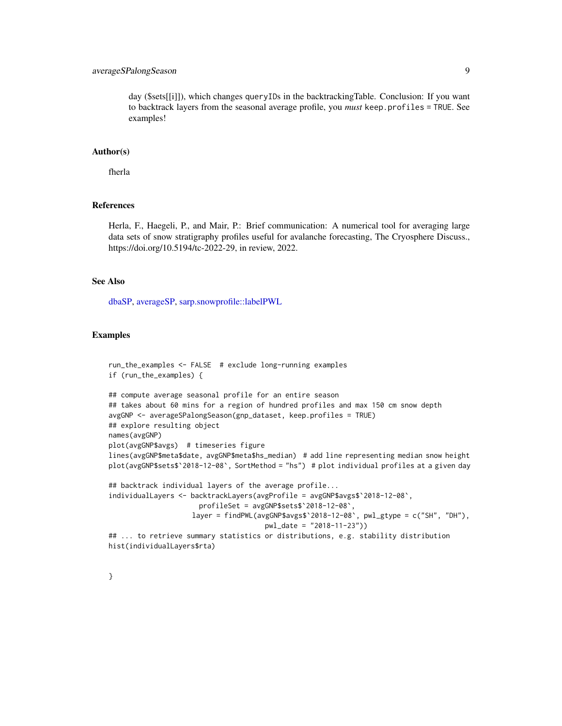# <span id="page-8-0"></span>averageSPalongSeason 9

day (\$sets[[i]]), which changes queryIDs in the backtrackingTable. Conclusion: If you want to backtrack layers from the seasonal average profile, you *must* keep.profiles = TRUE. See examples!

#### Author(s)

fherla

#### References

Herla, F., Haegeli, P., and Mair, P.: Brief communication: A numerical tool for averaging large data sets of snow stratigraphy profiles useful for avalanche forecasting, The Cryosphere Discuss., https://doi.org/10.5194/tc-2022-29, in review, 2022.

# See Also

[dbaSP,](#page-2-1) [averageSP,](#page-2-2) [sarp.snowprofile::labelPWL](#page-0-0)

#### Examples

```
run_the_examples <- FALSE # exclude long-running examples
if (run_the_examples) {
## compute average seasonal profile for an entire season
## takes about 60 mins for a region of hundred profiles and max 150 cm snow depth
avgGNP <- averageSPalongSeason(gnp_dataset, keep.profiles = TRUE)
## explore resulting object
names(avgGNP)
plot(avgGNP$avgs) # timeseries figure
lines(avgGNP$meta$date, avgGNP$meta$hs_median) # add line representing median snow height
plot(avgGNP$sets$`2018-12-08`, SortMethod = "hs") # plot individual profiles at a given day
## backtrack individual layers of the average profile...
individualLayers <- backtrackLayers(avgProfile = avgGNP$avgs$`2018-12-08`,
                      profileSet = avgGNP$sets$`2018-12-08`,
                    layer = findPWL(avgGNP$avgs$'2018-12-08', pwl_gtype = c("SH", "DH"),
                                      pwl_date = "2018-11-23"))
## ... to retrieve summary statistics or distributions, e.g. stability distribution
hist(individualLayers$rta)
```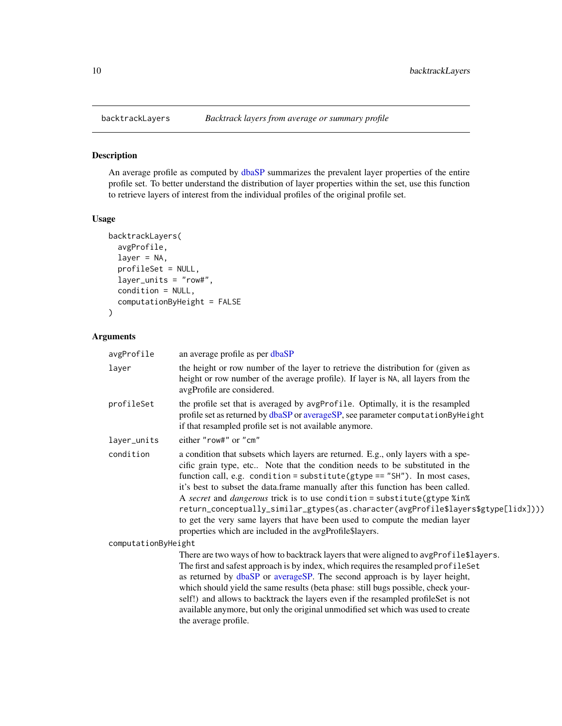<span id="page-9-1"></span><span id="page-9-0"></span>

# Description

An average profile as computed by [dbaSP](#page-2-1) summarizes the prevalent layer properties of the entire profile set. To better understand the distribution of layer properties within the set, use this function to retrieve layers of interest from the individual profiles of the original profile set.

#### Usage

```
backtrackLayers(
  avgProfile,
  layer = NA,
  profileSet = NULL,
  layer_units = "row#",
  condition = NULL,
  computationByHeight = FALSE
)
```

| avgProfile          | an average profile as per dbaSP                                                                                                                                                                                                                                                                                                                                                                                                                                                                                                                                                                                                                     |  |
|---------------------|-----------------------------------------------------------------------------------------------------------------------------------------------------------------------------------------------------------------------------------------------------------------------------------------------------------------------------------------------------------------------------------------------------------------------------------------------------------------------------------------------------------------------------------------------------------------------------------------------------------------------------------------------------|--|
| layer               | the height or row number of the layer to retrieve the distribution for (given as<br>height or row number of the average profile). If layer is NA, all layers from the<br>avgProfile are considered.                                                                                                                                                                                                                                                                                                                                                                                                                                                 |  |
| profileSet          | the profile set that is averaged by avgProfile. Optimally, it is the resampled<br>profile set as returned by dbaSP or averageSP, see parameter computationByHeight<br>if that resampled profile set is not available anymore.                                                                                                                                                                                                                                                                                                                                                                                                                       |  |
| layer_units         | either "row#" or "cm"                                                                                                                                                                                                                                                                                                                                                                                                                                                                                                                                                                                                                               |  |
| condition           | a condition that subsets which layers are returned. E.g., only layers with a spe-<br>cific grain type, etc Note that the condition needs to be substituted in the<br>function call, e.g. condition = substitute( $g$ type == "SH"). In most cases,<br>it's best to subset the data.frame manually after this function has been called.<br>A secret and dangerous trick is to use condition = substitute(gtype %in%<br>return_conceptually_similar_gtypes(as.character(avgProfile\$layers\$gtype[lidx])))<br>to get the very same layers that have been used to compute the median layer<br>properties which are included in the avgProfile\$layers. |  |
| computationByHeight |                                                                                                                                                                                                                                                                                                                                                                                                                                                                                                                                                                                                                                                     |  |
|                     | There are two ways of how to backtrack layers that were aligned to avgProfile\$layers.<br>The first and safest approach is by index, which requires the resampled profileSet<br>as returned by dbaSP or averageSP. The second approach is by layer height,<br>which should yield the same results (beta phase: still bugs possible, check your-<br>self!) and allows to backtrack the layers even if the resampled profileSet is not<br>available anymore, but only the original unmodified set which was used to create<br>the average profile.                                                                                                    |  |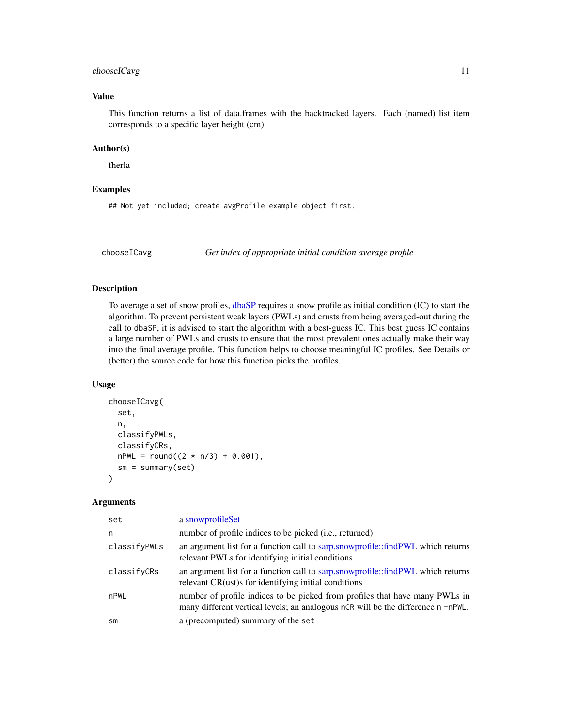# <span id="page-10-0"></span>chooseICavg 11

## Value

This function returns a list of data.frames with the backtracked layers. Each (named) list item corresponds to a specific layer height (cm).

### Author(s)

fherla

#### Examples

## Not yet included; create avgProfile example object first.

<span id="page-10-1"></span>chooseICavg *Get index of appropriate initial condition average profile*

#### Description

To average a set of snow profiles, [dbaSP](#page-2-1) requires a snow profile as initial condition (IC) to start the algorithm. To prevent persistent weak layers (PWLs) and crusts from being averaged-out during the call to dbaSP, it is advised to start the algorithm with a best-guess IC. This best guess IC contains a large number of PWLs and crusts to ensure that the most prevalent ones actually make their way into the final average profile. This function helps to choose meaningful IC profiles. See Details or (better) the source code for how this function picks the profiles.

#### Usage

```
chooseICavg(
  set,
  n,
  classifyPWLs,
  classifyCRs,
 nPWL = round((2 * n/3) + 0.001),sm = summary(set))
```

| set          | a snowprofileSet                                                                                                                                                |
|--------------|-----------------------------------------------------------------------------------------------------------------------------------------------------------------|
| n            | number of profile indices to be picked (i.e., returned)                                                                                                         |
| classifyPWLs | an argument list for a function call to sarp.snowprofile::findPWL which returns<br>relevant PWLs for identifying initial conditions                             |
| classifyCRs  | an argument list for a function call to sarp.snowprofile::findPWL which returns<br>relevant CR(ust) for identifying initial conditions                          |
| nPWL         | number of profile indices to be picked from profiles that have many PWLs in<br>many different vertical levels; an analogous nCR will be the difference n -nPWL. |
| sm           | a (precomputed) summary of the set                                                                                                                              |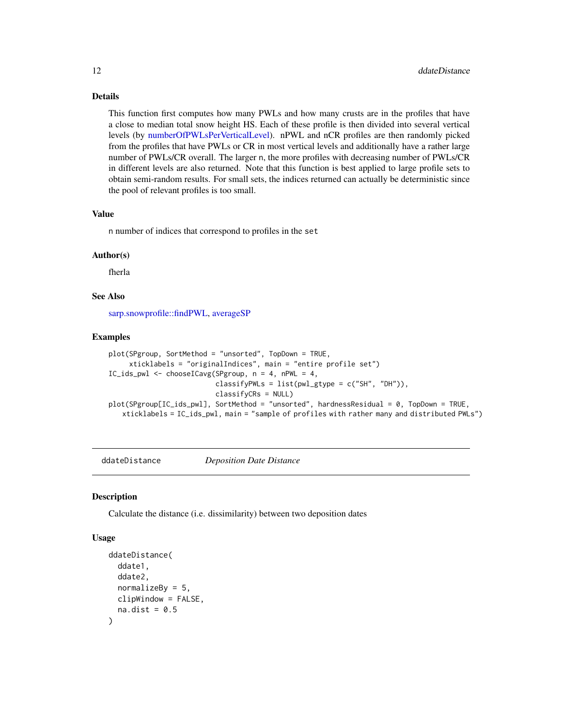<span id="page-11-0"></span>Details

This function first computes how many PWLs and how many crusts are in the profiles that have a close to median total snow height HS. Each of these profile is then divided into several vertical levels (by [numberOfPWLsPerVerticalLevel\)](#page-0-0). nPWL and nCR profiles are then randomly picked from the profiles that have PWLs or CR in most vertical levels and additionally have a rather large number of PWLs/CR overall. The larger n, the more profiles with decreasing number of PWLs/CR in different levels are also returned. Note that this function is best applied to large profile sets to obtain semi-random results. For small sets, the indices returned can actually be deterministic since the pool of relevant profiles is too small.

#### Value

n number of indices that correspond to profiles in the set

# Author(s)

fherla

# See Also

[sarp.snowprofile::findPWL,](#page-0-0) [averageSP](#page-2-2)

#### Examples

```
plot(SPgroup, SortMethod = "unsorted", TopDown = TRUE,
     xticklabels = "originalIndices", main = "entire profile set")
IC_ids_pwl <- chooseICavg(SPgroup, n = 4, nPWL = 4,
                          classifyPWLs = list(pwl_gtype = c("SH", "DH")),
                          classifyCRs = NULL)
plot(SPgroup[IC_ids_pwl], SortMethod = "unsorted", hardnessResidual = 0, TopDown = TRUE,
   xticklabels = IC_ids_pwl, main = "sample of profiles with rather many and distributed PWLs")
```
ddateDistance *Deposition Date Distance*

#### **Description**

Calculate the distance (i.e. dissimilarity) between two deposition dates

#### Usage

```
ddateDistance(
  ddate1,
  ddate2,
  normalizeBy = 5,
  clipWindow = FALSE,
  na.dist = 0.5)
```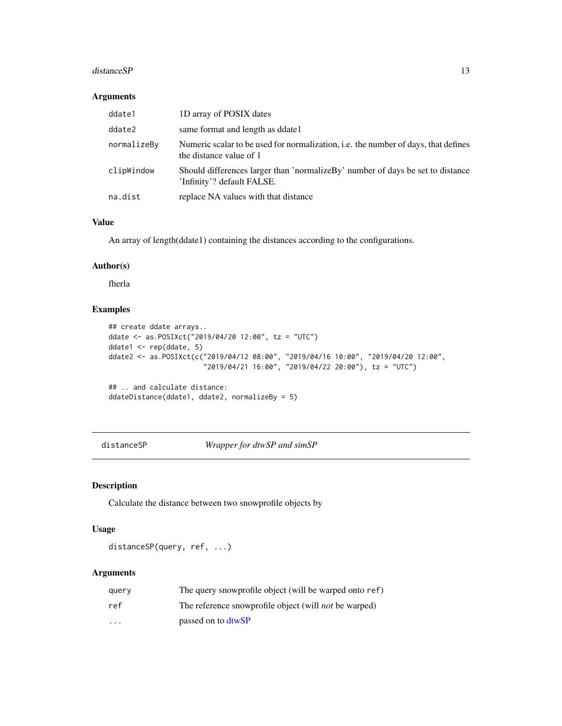#### <span id="page-12-0"></span>distance SP 13

#### Arguments

| ddate1      | 1D array of POSIX dates                                                                                       |
|-------------|---------------------------------------------------------------------------------------------------------------|
| ddate2      | same format and length as ddate1                                                                              |
| normalizeBy | Numeric scalar to be used for normalization, i.e. the number of days, that defines<br>the distance value of 1 |
| clipWindow  | Should differences larger than 'normalizeBy' number of days be set to distance<br>'Infinity'? default FALSE.  |
| na.dist     | replace NA values with that distance                                                                          |

# Value

An array of length(ddate1) containing the distances according to the configurations.

#### Author(s)

fherla

# Examples

```
## create ddate arrays..
ddate <- as.POSIXct("2019/04/20 12:00", tz = "UTC")
ddate1 <- rep(ddate, 5)
ddate2 <- as.POSIXct(c("2019/04/12 08:00", "2019/04/16 10:00", "2019/04/20 12:00",
                       "2019/04/21 16:00", "2019/04/22 20:00"), tz = "UTC")
## .. and calculate distance:
```

```
ddateDistance(ddate1, ddate2, normalizeBy = 5)
```
<span id="page-12-1"></span>distanceSP *Wrapper for dtwSP and simSP*

#### Description

Calculate the distance between two snowprofile objects by

# Usage

distanceSP(query, ref, ...)

| querv    | The query snowprofile object (will be warped onto ref)       |
|----------|--------------------------------------------------------------|
| ref      | The reference snowprofile object (will <i>not</i> be warped) |
| $\cdots$ | passed on to dtwSP                                           |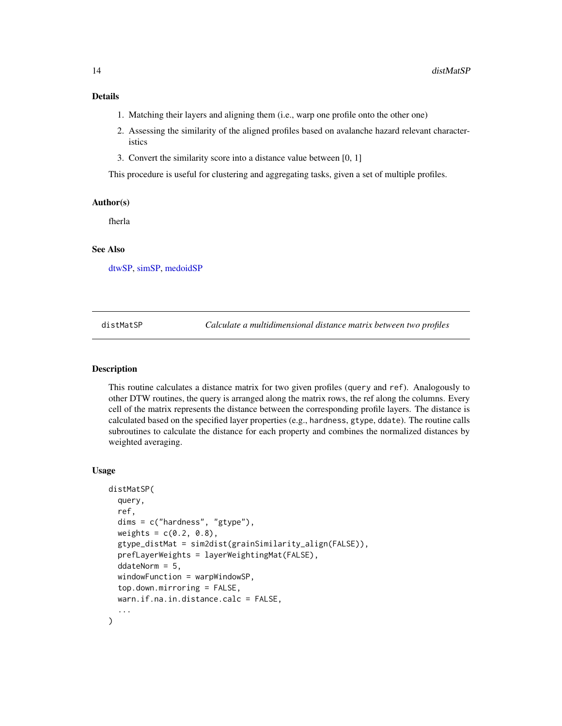# <span id="page-13-0"></span>Details

- 1. Matching their layers and aligning them (i.e., warp one profile onto the other one)
- 2. Assessing the similarity of the aligned profiles based on avalanche hazard relevant characteristics
- 3. Convert the similarity score into a distance value between [0, 1]

This procedure is useful for clustering and aggregating tasks, given a set of multiple profiles.

#### Author(s)

fherla

#### See Also

[dtwSP,](#page-15-1) [simSP,](#page-38-1) [medoidSP](#page-24-1)

<span id="page-13-1"></span>distMatSP *Calculate a multidimensional distance matrix between two profiles*

# Description

This routine calculates a distance matrix for two given profiles (query and ref). Analogously to other DTW routines, the query is arranged along the matrix rows, the ref along the columns. Every cell of the matrix represents the distance between the corresponding profile layers. The distance is calculated based on the specified layer properties (e.g., hardness, gtype, ddate). The routine calls subroutines to calculate the distance for each property and combines the normalized distances by weighted averaging.

#### Usage

```
distMatSP(
  query,
  ref,
  dims = c("hardness", "gtype"),
  weights = c(0.2, 0.8),gtype_distMat = sim2dist(grainSimilarity_align(FALSE)),
 prefLayerWeights = layerWeightingMat(FALSE),
  ddateNorm = 5,
  windowFunction = warpWindowSP,
  top.down.mirroring = FALSE,
  warn.if.na.in.distance.calc = FALSE,
)
```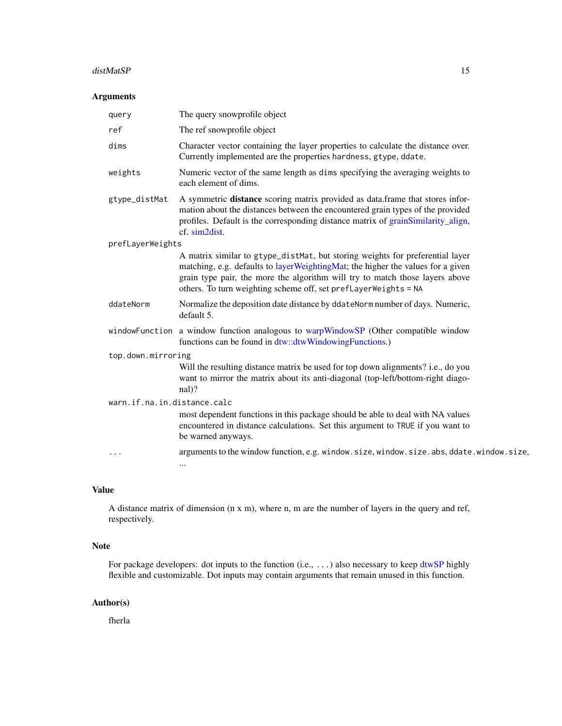#### <span id="page-14-0"></span>distMatSP 15

# Arguments

| query                       | The query snowprofile object                                                                                                                                                                                                                                                                                        |  |
|-----------------------------|---------------------------------------------------------------------------------------------------------------------------------------------------------------------------------------------------------------------------------------------------------------------------------------------------------------------|--|
| ref                         | The ref snowprofile object                                                                                                                                                                                                                                                                                          |  |
| dims                        | Character vector containing the layer properties to calculate the distance over.<br>Currently implemented are the properties hardness, gtype, ddate.                                                                                                                                                                |  |
| weights                     | Numeric vector of the same length as dims specifying the averaging weights to<br>each element of dims.                                                                                                                                                                                                              |  |
| gtype_distMat               | A symmetric distance scoring matrix provided as data.frame that stores infor-<br>mation about the distances between the encountered grain types of the provided<br>profiles. Default is the corresponding distance matrix of grainSimilarity_align,<br>cf. sim2dist.                                                |  |
| prefLayerWeights            |                                                                                                                                                                                                                                                                                                                     |  |
|                             | A matrix similar to gtype_distMat, but storing weights for preferential layer<br>matching, e.g. defaults to layerWeightingMat; the higher the values for a given<br>grain type pair, the more the algorithm will try to match those layers above<br>others. To turn weighting scheme off, set prefLayerWeights = NA |  |
| ddateNorm                   | Normalize the deposition date distance by ddateNorm number of days. Numeric,<br>default 5.                                                                                                                                                                                                                          |  |
|                             | windowFunction a window function analogous to warpWindowSP (Other compatible window<br>functions can be found in dtw::dtwWindowingFunctions.)                                                                                                                                                                       |  |
| top.down.mirroring          |                                                                                                                                                                                                                                                                                                                     |  |
|                             | Will the resulting distance matrix be used for top down alignments? i.e., do you<br>want to mirror the matrix about its anti-diagonal (top-left/bottom-right diago-<br>$nal$ ?                                                                                                                                      |  |
| warn.if.na.in.distance.calc |                                                                                                                                                                                                                                                                                                                     |  |
|                             | most dependent functions in this package should be able to deal with NA values<br>encountered in distance calculations. Set this argument to TRUE if you want to<br>be warned anyways.                                                                                                                              |  |
| $\cdots$                    | arguments to the window function, e.g. window.size, window.size.abs, ddate.window.size,                                                                                                                                                                                                                             |  |
|                             | $\cdots$                                                                                                                                                                                                                                                                                                            |  |

# Value

A distance matrix of dimension (n x m), where n, m are the number of layers in the query and ref, respectively.

# Note

For package developers: dot inputs to the function (i.e., ...) also necessary to keep [dtwSP](#page-15-1) highly flexible and customizable. Dot inputs may contain arguments that remain unused in this function.

#### Author(s)

fherla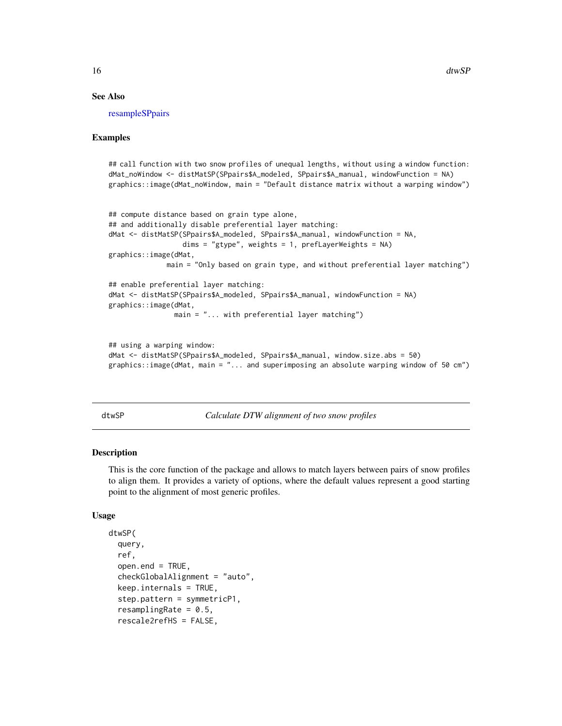# See Also

[resampleSPpairs](#page-32-1)

#### Examples

```
## call function with two snow profiles of unequal lengths, without using a window function:
dMat_noWindow <- distMatSP(SPpairs$A_modeled, SPpairs$A_manual, windowFunction = NA)
graphics::image(dMat_noWindow, main = "Default distance matrix without a warping window")
```

```
## compute distance based on grain type alone,
## and additionally disable preferential layer matching:
dMat <- distMatSP(SPpairs$A_modeled, SPpairs$A_manual, windowFunction = NA,
                 dims = "gtype", weights = 1, prefixB = WA)graphics::image(dMat,
              main = "Only based on grain type, and without preferential layer matching")
## enable preferential layer matching:
dMat <- distMatSP(SPpairs$A_modeled, SPpairs$A_manual, windowFunction = NA)
graphics::image(dMat,
```
main = "... with preferential layer matching")

```
## using a warping window:
dMat <- distMatSP(SPpairs$A_modeled, SPpairs$A_manual, window.size.abs = 50)
graphics::image(dMat, main = "... and superimposing an absolute warping window of 50 cm")
```
<span id="page-15-1"></span>dtwSP *Calculate DTW alignment of two snow profiles*

# **Description**

This is the core function of the package and allows to match layers between pairs of snow profiles to align them. It provides a variety of options, where the default values represent a good starting point to the alignment of most generic profiles.

#### Usage

```
dtwSP(
  query,
  ref,
  open.end = TRUE,checkGlobalAlignment = "auto",
  keep.internals = TRUE,
  step.pattern = symmetricP1,
  resamplingRate = 0.5,
  rescale2refHS = FALSE,
```
<span id="page-15-0"></span>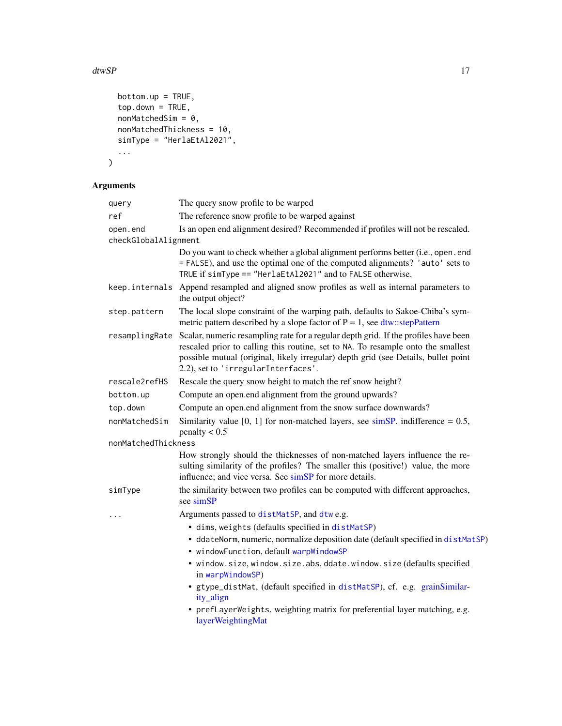# <span id="page-16-0"></span> $\mu$  dtwSP  $\mu$  17

```
bottom.up = TRUE,top.down = TRUE,
  nonMatchedSim = 0,nonMatchedThickness = 10,
  simType = "HerlaEtAl2021",
  ...
\lambda
```

| query                | The query snow profile to be warped                                                                                                                                                                                                                                                                                  |
|----------------------|----------------------------------------------------------------------------------------------------------------------------------------------------------------------------------------------------------------------------------------------------------------------------------------------------------------------|
| ref                  | The reference snow profile to be warped against                                                                                                                                                                                                                                                                      |
| open.end             | Is an open end alignment desired? Recommended if profiles will not be rescaled.                                                                                                                                                                                                                                      |
| checkGlobalAlignment |                                                                                                                                                                                                                                                                                                                      |
|                      | Do you want to check whether a global alignment performs better (i.e., open. end<br>= FALSE), and use the optimal one of the computed alignments? 'auto' sets to<br>TRUE if simType == "HerlaEtAl2021" and to FALSE otherwise.                                                                                       |
| keep.internals       | Append resampled and aligned snow profiles as well as internal parameters to<br>the output object?                                                                                                                                                                                                                   |
| step.pattern         | The local slope constraint of the warping path, defaults to Sakoe-Chiba's sym-<br>metric pattern described by a slope factor of $P = 1$ , see dtw::stepPattern                                                                                                                                                       |
|                      | resampling Rate Scalar, numeric resampling rate for a regular depth grid. If the profiles have been<br>rescaled prior to calling this routine, set to NA. To resample onto the smallest<br>possible mutual (original, likely irregular) depth grid (see Details, bullet point<br>2.2), set to 'irregularInterfaces'. |
| rescale2refHS        | Rescale the query snow height to match the ref snow height?                                                                                                                                                                                                                                                          |
| bottom.up            | Compute an open.end alignment from the ground upwards?                                                                                                                                                                                                                                                               |
| top.down             | Compute an open.end alignment from the snow surface downwards?                                                                                                                                                                                                                                                       |
| nonMatchedSim        | Similarity value [0, 1] for non-matched layers, see $\sin SP$ . indifference = 0.5,<br>penalty $< 0.5$                                                                                                                                                                                                               |
| nonMatchedThickness  |                                                                                                                                                                                                                                                                                                                      |
|                      | How strongly should the thicknesses of non-matched layers influence the re-<br>sulting similarity of the profiles? The smaller this (positive!) value, the more<br>influence; and vice versa. See simSP for more details.                                                                                            |
| simType              | the similarity between two profiles can be computed with different approaches,<br>see simSP                                                                                                                                                                                                                          |
| .                    | Arguments passed to distMatSP, and dtw e.g.                                                                                                                                                                                                                                                                          |
|                      | · dims, weights (defaults specified in distMatSP)                                                                                                                                                                                                                                                                    |
|                      | · ddateNorm, numeric, normalize deposition date (default specified in distMatSP)<br>· windowFunction, default warpWindowSP                                                                                                                                                                                           |
|                      | · window.size, window.size.abs, ddate.window.size (defaults specified<br>in warpWindowSP)                                                                                                                                                                                                                            |
|                      | · gtype_distMat, (default specified in distMatSP), cf. e.g. grainSimilar-<br>ity_align                                                                                                                                                                                                                               |
|                      | • prefLayerWeights, weighting matrix for preferential layer matching, e.g.<br>layerWeightingMat                                                                                                                                                                                                                      |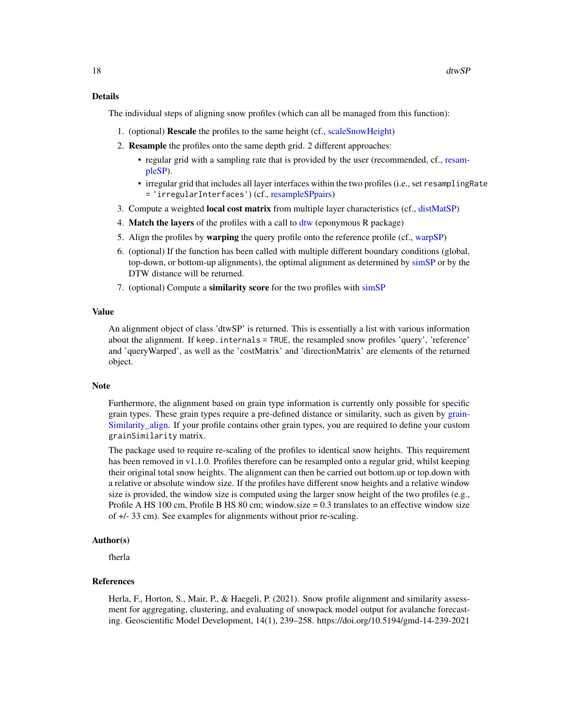#### <span id="page-17-0"></span>Details

The individual steps of aligning snow profiles (which can all be managed from this function):

- 1. (optional) Rescale the profiles to the same height (cf., [scaleSnowHeight\)](#page-36-1)
- 2. Resample the profiles onto the same depth grid. 2 different approaches:
	- regular grid with a sampling rate that is provided by the user (recommended, cf., [resam](#page-31-1)[pleSP\)](#page-31-1).
	- irregular grid that includes all layer interfaces within the two profiles (i.e., set resamplingRate = 'irregularInterfaces') (cf., [resampleSPpairs\)](#page-32-1)
- 3. Compute a weighted local cost matrix from multiple layer characteristics (cf., [distMatSP\)](#page-13-1)
- 4. Match the layers of the profiles with a call to [dtw](#page-0-0) (eponymous R package)
- 5. Align the profiles by warping the query profile onto the reference profile (cf., [warpSP\)](#page-42-1)
- 6. (optional) If the function has been called with multiple different boundary conditions (global, top-down, or bottom-up alignments), the optimal alignment as determined by [simSP](#page-38-1) or by the DTW distance will be returned.
- 7. (optional) Compute a similarity score for the two profiles with [simSP](#page-38-1)

#### Value

An alignment object of class 'dtwSP' is returned. This is essentially a list with various information about the alignment. If keep.internals = TRUE, the resampled snow profiles 'query', 'reference' and 'queryWarped', as well as the 'costMatrix' and 'directionMatrix' are elements of the returned object.

#### Note

Furthermore, the alignment based on grain type information is currently only possible for specific grain types. These grain types require a pre-defined distance or similarity, such as given by [grain-](#page-20-1)[Similarity\\_align.](#page-20-1) If your profile contains other grain types, you are required to define your custom grainSimilarity matrix.

The package used to require re-scaling of the profiles to identical snow heights. This requirement has been removed in v1.1.0. Profiles therefore can be resampled onto a regular grid, whilst keeping their original total snow heights. The alignment can then be carried out bottom.up or top.down with a relative or absolute window size. If the profiles have different snow heights and a relative window size is provided, the window size is computed using the larger snow height of the two profiles (e.g., Profile A HS 100 cm, Profile B HS 80 cm; window.size = 0.3 translates to an effective window size of +/- 33 cm). See examples for alignments without prior re-scaling.

# Author(s)

fherla

#### References

Herla, F., Horton, S., Mair, P., & Haegeli, P. (2021). Snow profile alignment and similarity assessment for aggregating, clustering, and evaluating of snowpack model output for avalanche forecasting. Geoscientific Model Development, 14(1), 239–258. https://doi.org/10.5194/gmd-14-239-2021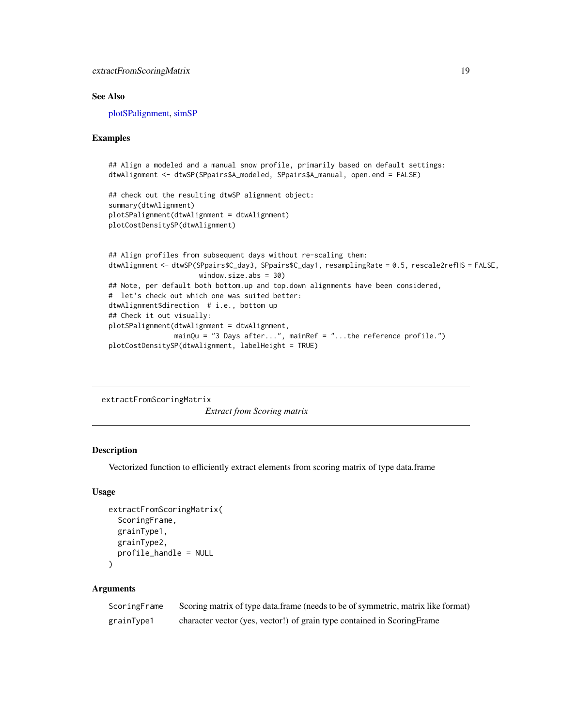# <span id="page-18-0"></span>See Also

[plotSPalignment,](#page-29-1) [simSP](#page-38-1)

#### Examples

```
## Align a modeled and a manual snow profile, primarily based on default settings:
dtwAlignment <- dtwSP(SPpairs$A_modeled, SPpairs$A_manual, open.end = FALSE)
## check out the resulting dtwSP alignment object:
summary(dtwAlignment)
plotSPalignment(dtwAlignment = dtwAlignment)
plotCostDensitySP(dtwAlignment)
## Align profiles from subsequent days without re-scaling them:
dtwAlignment <- dtwSP(SPpairs$C_day3, SPpairs$C_day1, resamplingRate = 0.5, rescale2refHS = FALSE,
                      window.size.abs = 30)
## Note, per default both bottom.up and top.down alignments have been considered,
# let's check out which one was suited better:
dtwAlignment$direction # i.e., bottom up
## Check it out visually:
plotSPalignment(dtwAlignment = dtwAlignment,
                mainQu = "3 Days after...", mainRef = "...the reference profile.")
plotCostDensitySP(dtwAlignment, labelHeight = TRUE)
```
extractFromScoringMatrix

*Extract from Scoring matrix*

#### **Description**

Vectorized function to efficiently extract elements from scoring matrix of type data.frame

#### Usage

```
extractFromScoringMatrix(
  ScoringFrame,
  grainType1,
  grainType2,
 profile_handle = NULL
)
```

| ScoringFrame | Scoring matrix of type data frame (needs to be of symmetric, matrix like format) |
|--------------|----------------------------------------------------------------------------------|
| grainType1   | character vector (yes, vector!) of grain type contained in ScoringFrame          |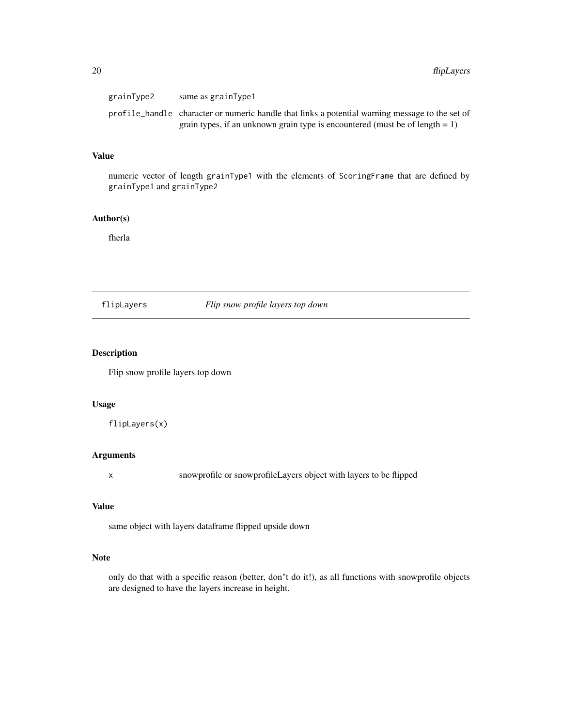<span id="page-19-0"></span>

| grainType2 | same as grainType1                                                                              |
|------------|-------------------------------------------------------------------------------------------------|
|            | profile_handle character or numeric handle that links a potential warning message to the set of |
|            | grain types, if an unknown grain type is encountered (must be of length $= 1$ )                 |

# Value

numeric vector of length grainType1 with the elements of ScoringFrame that are defined by grainType1 and grainType2

# Author(s)

fherla

## flipLayers *Flip snow profile layers top down*

#### Description

Flip snow profile layers top down

# Usage

flipLayers(x)

# Arguments

x snowprofile or snowprofileLayers object with layers to be flipped

# Value

same object with layers dataframe flipped upside down

# Note

only do that with a specific reason (better, don"t do it!), as all functions with snowprofile objects are designed to have the layers increase in height.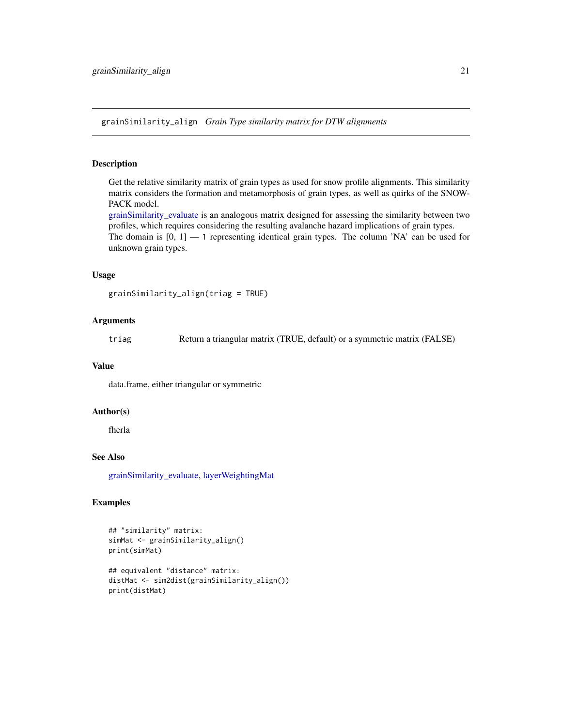<span id="page-20-1"></span><span id="page-20-0"></span>grainSimilarity\_align *Grain Type similarity matrix for DTW alignments*

#### Description

Get the relative similarity matrix of grain types as used for snow profile alignments. This similarity matrix considers the formation and metamorphosis of grain types, as well as quirks of the SNOW-PACK model.

[grainSimilarity\\_evaluate](#page-21-1) is an analogous matrix designed for assessing the similarity between two profiles, which requires considering the resulting avalanche hazard implications of grain types. The domain is [0, 1] — 1 representing identical grain types. The column 'NA' can be used for unknown grain types.

#### Usage

```
grainSimilarity_align(triag = TRUE)
```
# Arguments

triag Return a triangular matrix (TRUE, default) or a symmetric matrix (FALSE)

### Value

data.frame, either triangular or symmetric

#### Author(s)

fherla

#### See Also

[grainSimilarity\\_evaluate,](#page-21-1) [layerWeightingMat](#page-23-1)

### Examples

```
## "similarity" matrix:
simMat <- grainSimilarity_align()
print(simMat)
```

```
## equivalent "distance" matrix:
distMat <- sim2dist(grainSimilarity_align())
print(distMat)
```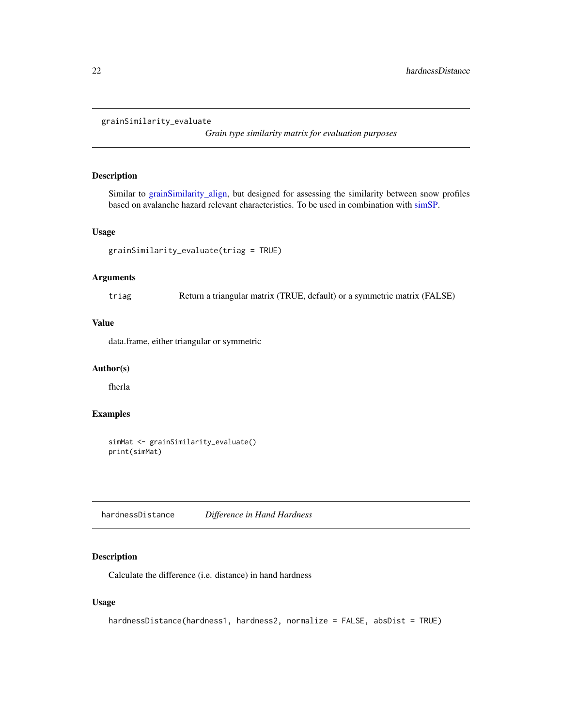```
grainSimilarity_evaluate
```
*Grain type similarity matrix for evaluation purposes*

# Description

Similar to [grainSimilarity\\_align,](#page-20-1) but designed for assessing the similarity between snow profiles based on avalanche hazard relevant characteristics. To be used in combination with [simSP.](#page-38-1)

## Usage

```
grainSimilarity_evaluate(triag = TRUE)
```
# Arguments

triag Return a triangular matrix (TRUE, default) or a symmetric matrix (FALSE)

# Value

data.frame, either triangular or symmetric

# Author(s)

fherla

# Examples

```
simMat <- grainSimilarity_evaluate()
print(simMat)
```
hardnessDistance *Difference in Hand Hardness*

# Description

Calculate the difference (i.e. distance) in hand hardness

#### Usage

```
hardnessDistance(hardness1, hardness2, normalize = FALSE, absDist = TRUE)
```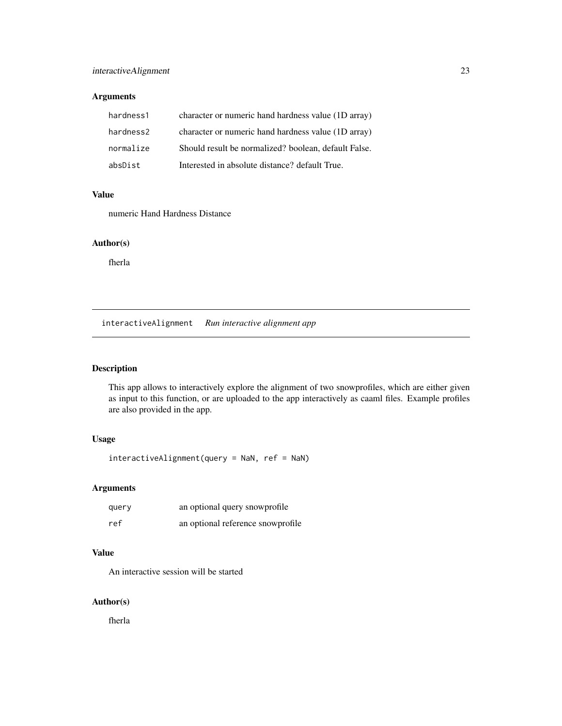# <span id="page-22-0"></span>Arguments

| hardness1 | character or numeric hand hardness value (1D array)  |
|-----------|------------------------------------------------------|
| hardness2 | character or numeric hand hardness value (1D array)  |
| normalize | Should result be normalized? boolean, default False. |
| absDist   | Interested in absolute distance? default True.       |

#### Value

numeric Hand Hardness Distance

#### Author(s)

fherla

interactiveAlignment *Run interactive alignment app*

# Description

This app allows to interactively explore the alignment of two snowprofiles, which are either given as input to this function, or are uploaded to the app interactively as caaml files. Example profiles are also provided in the app.

# Usage

interactiveAlignment(query = NaN, ref = NaN)

# Arguments

| query | an optional query snowprofile     |
|-------|-----------------------------------|
| ref   | an optional reference snowprofile |

# Value

An interactive session will be started

#### Author(s)

fherla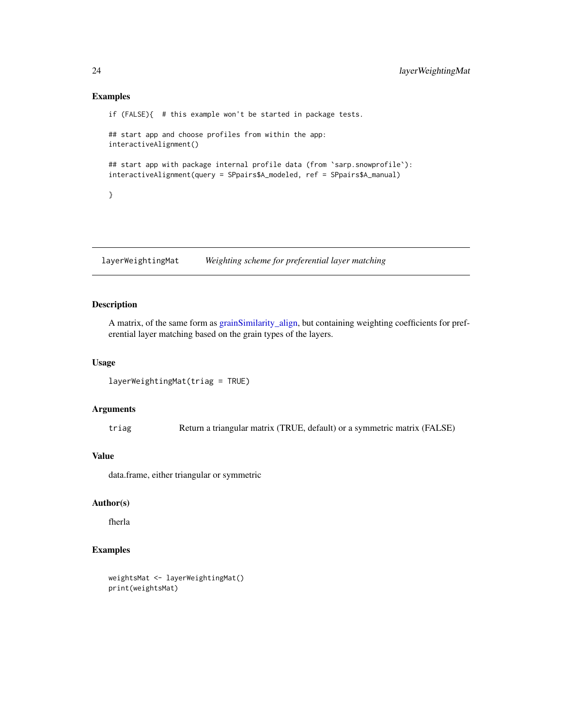#### Examples

```
if (FALSE){ # this example won't be started in package tests.
## start app and choose profiles from within the app:
interactiveAlignment()
## start app with package internal profile data (from 'sarp.snowprofile'):
interactiveAlignment(query = SPpairs$A_modeled, ref = SPpairs$A_manual)
}
```
<span id="page-23-1"></span>layerWeightingMat *Weighting scheme for preferential layer matching*

### Description

A matrix, of the same form as [grainSimilarity\\_align,](#page-20-1) but containing weighting coefficients for preferential layer matching based on the grain types of the layers.

# Usage

```
layerWeightingMat(triag = TRUE)
```
# Arguments

triag Return a triangular matrix (TRUE, default) or a symmetric matrix (FALSE)

# Value

data.frame, either triangular or symmetric

## Author(s)

fherla

# Examples

```
weightsMat <- layerWeightingMat()
print(weightsMat)
```
<span id="page-23-0"></span>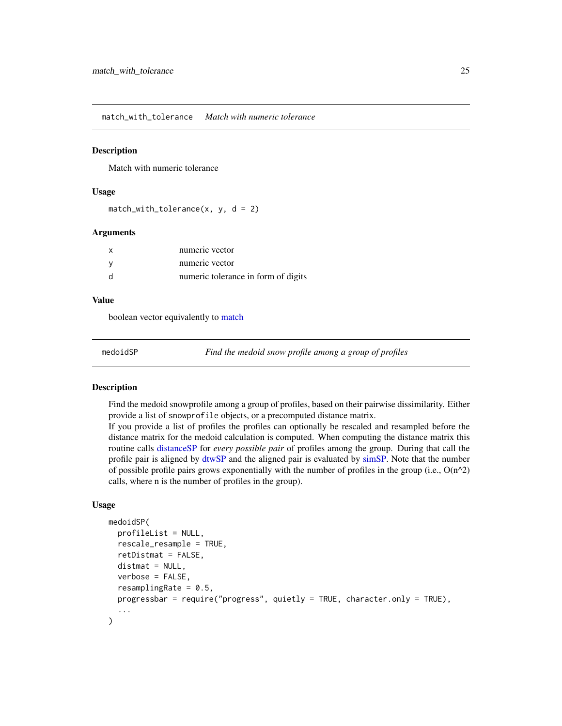<span id="page-24-0"></span>match\_with\_tolerance *Match with numeric tolerance*

# Description

Match with numeric tolerance

# Usage

```
match\_with\_tolerance(x, y, d = 2)
```
#### Arguments

|              | numeric vector                      |
|--------------|-------------------------------------|
|              | numeric vector                      |
| <sub>d</sub> | numeric tolerance in form of digits |

#### Value

boolean vector equivalently to [match](#page-0-0)

<span id="page-24-1"></span>

medoidSP *Find the medoid snow profile among a group of profiles*

# Description

Find the medoid snowprofile among a group of profiles, based on their pairwise dissimilarity. Either provide a list of snowprofile objects, or a precomputed distance matrix.

If you provide a list of profiles the profiles can optionally be rescaled and resampled before the distance matrix for the medoid calculation is computed. When computing the distance matrix this routine calls [distanceSP](#page-12-1) for *every possible pair* of profiles among the group. During that call the profile pair is aligned by [dtwSP](#page-15-1) and the aligned pair is evaluated by [simSP.](#page-38-1) Note that the number of possible profile pairs grows exponentially with the number of profiles in the group (i.e.,  $O(n^2)$ ) calls, where n is the number of profiles in the group).

#### Usage

```
medoidSP(
 profileList = NULL,
  rescale_resample = TRUE,
  retDistmat = FALSE,
  distmat = NULL,verbose = FALSE,
  resamplingRate = 0.5,
 progressbar = require("progress", quietly = TRUE, character.only = TRUE),
  ...
)
```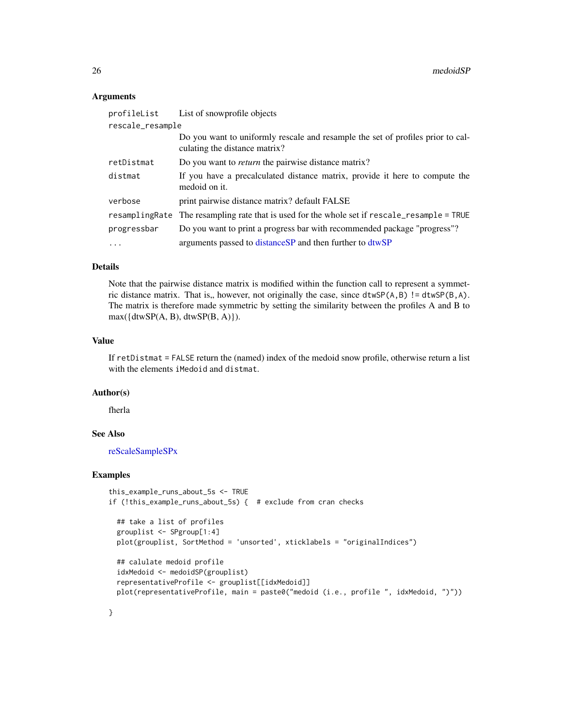#### <span id="page-25-0"></span>**Arguments**

| profileList      | List of snowprofile objects                                                                                      |  |
|------------------|------------------------------------------------------------------------------------------------------------------|--|
| rescale_resample |                                                                                                                  |  |
|                  | Do you want to uniformly rescale and resample the set of profiles prior to cal-<br>culating the distance matrix? |  |
| retDistmat       | Do you want to <i>return</i> the pairwise distance matrix?                                                       |  |
| distmat          | If you have a precalculated distance matrix, provide it here to compute the<br>medoid on it.                     |  |
| verbose          | print pairwise distance matrix? default FALSE                                                                    |  |
|                  | resamplingRate The resampling rate that is used for the whole set if rescale_resample = TRUE                     |  |
| progressbar      | Do you want to print a progress bar with recommended package "progress"?                                         |  |
| $\cdots$         | arguments passed to distance SP and then further to dtwSP                                                        |  |

# Details

Note that the pairwise distance matrix is modified within the function call to represent a symmetric distance matrix. That is,, however, not originally the case, since dtwSP( $A, B$ ) != dtwSP( $B, A$ ). The matrix is therefore made symmetric by setting the similarity between the profiles A and B to  $max({dtwSP(A, B), dwSP(B, A)}).$ 

#### Value

If retDistmat = FALSE return the (named) index of the medoid snow profile, otherwise return a list with the elements iMedoid and distmat.

# Author(s)

fherla

# See Also

[reScaleSampleSPx](#page-34-1)

# Examples

}

```
this_example_runs_about_5s <- TRUE
if (!this_example_runs_about_5s) { # exclude from cran checks
 ## take a list of profiles
 grouplist <- SPgroup[1:4]
 plot(grouplist, SortMethod = 'unsorted', xticklabels = "originalIndices")
 ## calulate medoid profile
 idxMedoid <- medoidSP(grouplist)
 representativeProfile <- grouplist[[idxMedoid]]
 plot(representativeProfile, main = paste0("medoid (i.e., profile ", idxMedoid, ")"))
```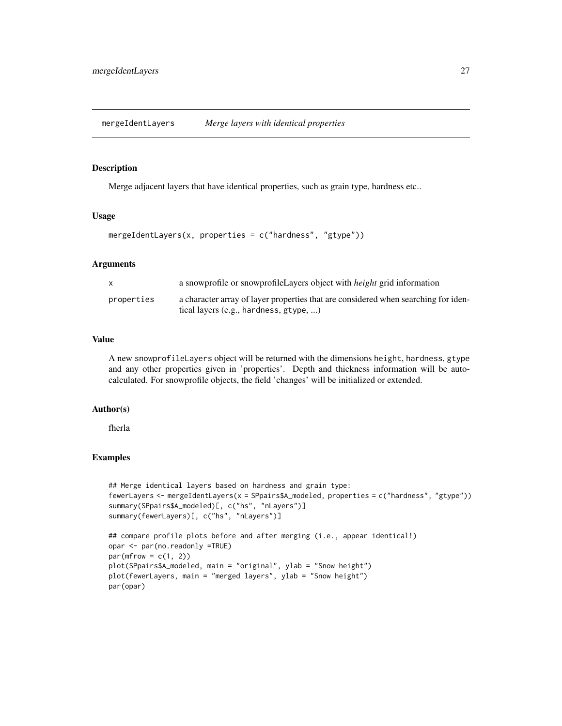<span id="page-26-1"></span><span id="page-26-0"></span>mergeIdentLayers *Merge layers with identical properties*

#### Description

Merge adjacent layers that have identical properties, such as grain type, hardness etc..

#### Usage

```
mergeIdentLayers(x, properties = c("hardness", "gtype"))
```
#### Arguments

| X          | a snowprofile or snowprofile Layers object with <i>height</i> grid information                                               |
|------------|------------------------------------------------------------------------------------------------------------------------------|
| properties | a character array of layer properties that are considered when searching for iden-<br>tical layers (e.g., hardness, gtype, ) |

# Value

A new snowprofileLayers object will be returned with the dimensions height, hardness, gtype and any other properties given in 'properties'. Depth and thickness information will be autocalculated. For snowprofile objects, the field 'changes' will be initialized or extended.

# Author(s)

fherla

#### Examples

```
## Merge identical layers based on hardness and grain type:
fewerLayers <- mergeIdentLayers(x = SPpairs$A_modeled, properties = c("hardness", "gtype"))
summary(SPpairs$A_modeled)[, c("hs", "nLayers")]
summary(fewerLayers)[, c("hs", "nLayers")]
## compare profile plots before and after merging (i.e., appear identical!)
opar <- par(no.readonly =TRUE)
par(mfrow = c(1, 2))
```

```
plot(SPpairs$A_modeled, main = "original", ylab = "Snow height")
plot(fewerLayers, main = "merged layers", ylab = "Snow height")
par(opar)
```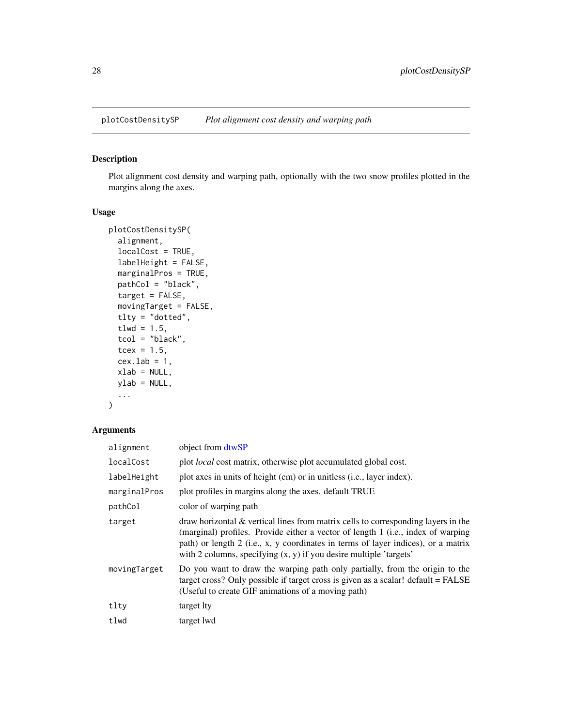<span id="page-27-1"></span><span id="page-27-0"></span>

# Description

Plot alignment cost density and warping path, optionally with the two snow profiles plotted in the margins along the axes.

# Usage

```
plotCostDensitySP(
  alignment,
  localCost = TRUE,
  labelHeight = FALSE,
 marginalPros = TRUE,
 pathCol = "black",
  target = FALSE,movingTarget = FALSE,
  tlty = "dotted",
  tlwd = 1.5,
  tcol = "black",
  tcex = 1.5,
  cex.lab = 1,
 xlab = NULL,
 ylab = NULL,
  ...
)
```

| alignment    | object from dtwSP                                                                                                                                                                                                                                                                                                                    |
|--------------|--------------------------------------------------------------------------------------------------------------------------------------------------------------------------------------------------------------------------------------------------------------------------------------------------------------------------------------|
| localCost    | plot <i>local</i> cost matrix, otherwise plot accumulated global cost.                                                                                                                                                                                                                                                               |
| labelHeight  | plot axes in units of height (cm) or in unitless (i.e., layer index).                                                                                                                                                                                                                                                                |
| marginalPros | plot profiles in margins along the axes. default TRUE                                                                                                                                                                                                                                                                                |
| pathCol      | color of warping path                                                                                                                                                                                                                                                                                                                |
| target       | draw horizontal $&$ vertical lines from matrix cells to corresponding layers in the<br>(marginal) profiles. Provide either a vector of length 1 (i.e., index of warping<br>path) or length 2 (i.e., x, y coordinates in terms of layer indices), or a matrix<br>with 2 columns, specifying $(x, y)$ if you desire multiple 'targets' |
| movingTarget | Do you want to draw the warping path only partially, from the origin to the<br>target cross? Only possible if target cross is given as a scalar! default = FALSE<br>(Useful to create GIF animations of a moving path)                                                                                                               |
| tlty         | target lty                                                                                                                                                                                                                                                                                                                           |
| tlwd         | target lwd                                                                                                                                                                                                                                                                                                                           |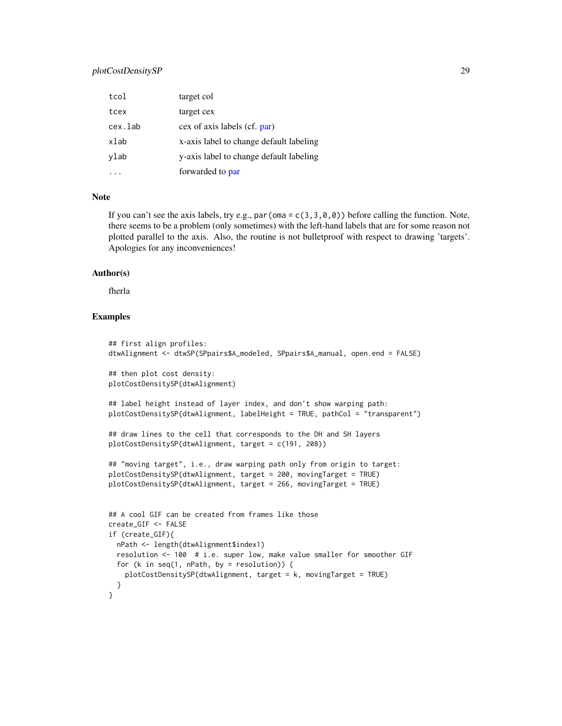# <span id="page-28-0"></span>plotCostDensitySP 29

| tcol    | target col                              |
|---------|-----------------------------------------|
| tcex    | target cex                              |
| cex.lab | cex of axis labels (cf. par)            |
| xlab    | x-axis label to change default labeling |
| ylab    | y-axis label to change default labeling |
|         | forwarded to par                        |

# Note

If you can't see the axis labels, try e.g., par (oma =  $c(3,3,0,0)$ ) before calling the function. Note, there seems to be a problem (only sometimes) with the left-hand labels that are for some reason not plotted parallel to the axis. Also, the routine is not bulletproof with respect to drawing 'targets'. Apologies for any inconveniences!

#### Author(s)

fherla

#### Examples

```
## first align profiles:
dtwAlignment <- dtwSP(SPpairs$A_modeled, SPpairs$A_manual, open.end = FALSE)
## then plot cost density:
plotCostDensitySP(dtwAlignment)
## label height instead of layer index, and don't show warping path:
plotCostDensitySP(dtwAlignment, labelHeight = TRUE, pathCol = "transparent")
## draw lines to the cell that corresponds to the DH and SH layers
plotCostDensitySP(dtwAlignment, target = c(191, 208))
## "moving target", i.e., draw warping path only from origin to target:
plotCostDensitySP(dtwAlignment, target = 200, movingTarget = TRUE)
plotCostDensitySP(dtwAlignment, target = 266, movingTarget = TRUE)
## A cool GIF can be created from frames like those
create_GIF <- FALSE
if (create_GIF){
 nPath <- length(dtwAlignment$index1)
 resolution <- 100 # i.e. super low, make value smaller for smoother GIF
 for (k in seq(1, nPath, by = resolution)) {
    plotCostDensitySP(dtwAlignment, target = k, movingTarget = TRUE)
 }
}
```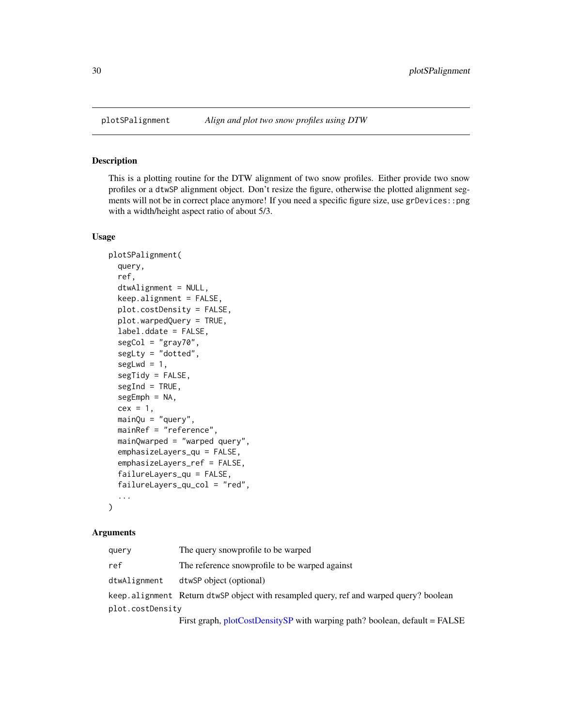<span id="page-29-1"></span><span id="page-29-0"></span>

# Description

This is a plotting routine for the DTW alignment of two snow profiles. Either provide two snow profiles or a dtwSP alignment object. Don't resize the figure, otherwise the plotted alignment segments will not be in correct place anymore! If you need a specific figure size, use grDevices::png with a width/height aspect ratio of about 5/3.

### Usage

```
plotSPalignment(
  query,
  ref,
  dtwAlignment = NULL,
  keep.alignment = FALSE,
  plot.costDensity = FALSE,
  plot.warpedQuery = TRUE,
  label.ddate = FALSE,
  segCol = "gray70",segLty = "dotted",
  segLwd = 1,
  segTidy = FALSE,
  segInd = TRUE,segEmph = NA,
  cex = 1,
  mainQu = "query",mainRef = "reference",
  mainQwarped = "warped query",
  emphasizeLayers_qu = FALSE,
  emphasizeLayers_ref = FALSE,
  failureLayers_qu = FALSE,
  failureLayers_qu_col = "red",
  ...
\mathcal{L}
```

| query            | The query snowprofile to be warped                                                     |
|------------------|----------------------------------------------------------------------------------------|
| ref              | The reference snowprofile to be warped against                                         |
| dtwAlignment     | dtwSP object (optional)                                                                |
|                  | keep.alignment Return dtwSP object with resampled query, ref and warped query? boolean |
| plot.costDensity |                                                                                        |
|                  | First graph, plotCostDensitySP with warping path? boolean, default = FALSE             |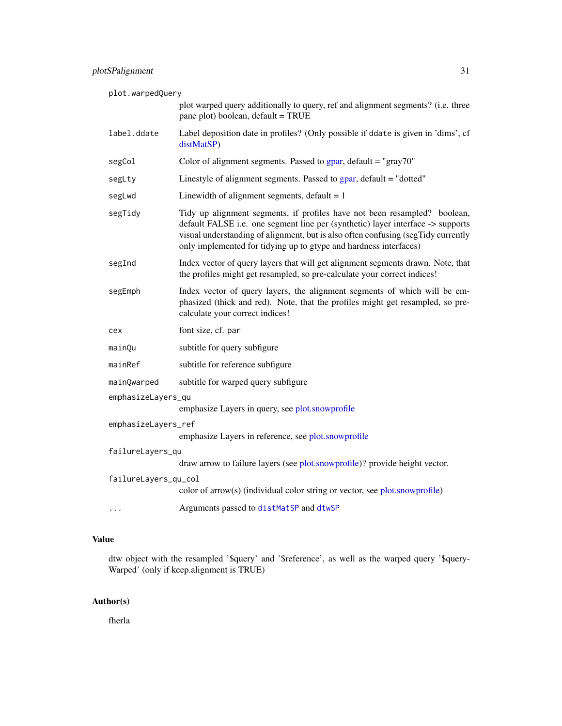<span id="page-30-0"></span>

| plot.warpedQuery     |                                                                                                                                                                                                                                                                                                                        |
|----------------------|------------------------------------------------------------------------------------------------------------------------------------------------------------------------------------------------------------------------------------------------------------------------------------------------------------------------|
|                      | plot warped query additionally to query, ref and alignment segments? (i.e. three<br>pane plot) boolean, default = TRUE                                                                                                                                                                                                 |
| label.ddate          | Label deposition date in profiles? (Only possible if ddate is given in 'dims', cf<br>distMatSP)                                                                                                                                                                                                                        |
| segCol               | Color of alignment segments. Passed to $\frac{1}{2}$ and $\frac{1}{2}$ alignment segments. Passed to $\frac{1}{2}$ and $\frac{1}{2}$ alignment segments.                                                                                                                                                               |
| segLty               | Linestyle of alignment segments. Passed to gpar, default = "dotted"                                                                                                                                                                                                                                                    |
| segLwd               | Linewidth of alignment segments, $default = 1$                                                                                                                                                                                                                                                                         |
| segTidy              | Tidy up alignment segments, if profiles have not been resampled? boolean,<br>default FALSE i.e. one segment line per (synthetic) layer interface -> supports<br>visual understanding of alignment, but is also often confusing (segTidy currently<br>only implemented for tidying up to gtype and hardness interfaces) |
| segInd               | Index vector of query layers that will get alignment segments drawn. Note, that<br>the profiles might get resampled, so pre-calculate your correct indices!                                                                                                                                                            |
| segEmph              | Index vector of query layers, the alignment segments of which will be em-<br>phasized (thick and red). Note, that the profiles might get resampled, so pre-<br>calculate your correct indices!                                                                                                                         |
| cex                  | font size, cf. par                                                                                                                                                                                                                                                                                                     |
| mainQu               | subtitle for query subfigure                                                                                                                                                                                                                                                                                           |
| mainRef              | subtitle for reference subfigure                                                                                                                                                                                                                                                                                       |
| mainQwarped          | subtitle for warped query subfigure                                                                                                                                                                                                                                                                                    |
| emphasizeLayers_qu   | emphasize Layers in query, see plot.snowprofile                                                                                                                                                                                                                                                                        |
| emphasizeLayers_ref  | emphasize Layers in reference, see plot.snowprofile                                                                                                                                                                                                                                                                    |
| failureLayers_qu     | draw arrow to failure layers (see plot.snowprofile)? provide height vector.                                                                                                                                                                                                                                            |
| failureLayers_qu_col | color of $arrow(s)$ (individual color string or vector, see plot.snowprofile)                                                                                                                                                                                                                                          |
| $\cdots$             | Arguments passed to distMatSP and dtwSP                                                                                                                                                                                                                                                                                |

# Value

dtw object with the resampled '\$query' and '\$reference', as well as the warped query '\$query-Warped' (only if keep.alignment is TRUE)

# Author(s)

fherla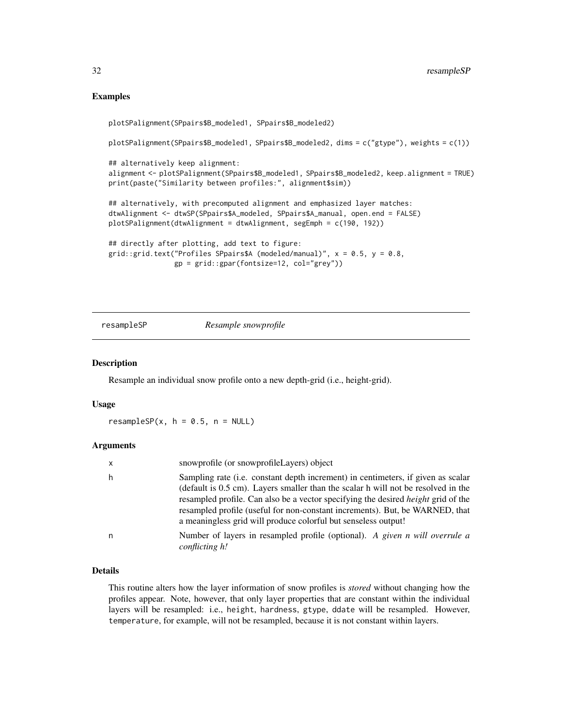# Examples

```
plotSPalignment(SPpairs$B_modeled1, SPpairs$B_modeled2)
plotSPalignment(SPpairs$B_modeled1, SPpairs$B_modeled2, dims = c("gtype"), weights = c(1))
## alternatively keep alignment:
alignment <- plotSPalignment(SPpairs$B_modeled1, SPpairs$B_modeled2, keep.alignment = TRUE)
print(paste("Similarity between profiles:", alignment$sim))
## alternatively, with precomputed alignment and emphasized layer matches:
dtwAlignment <- dtwSP(SPpairs$A_modeled, SPpairs$A_manual, open.end = FALSE)
plotSPalignment(dtwAlignment = dtwAlignment, segEmph = c(190, 192))
## directly after plotting, add text to figure:
grid::grid.text("Profiles SPpairs$A (modeled/manual)", x = 0.5, y = 0.8,
                gp = grid::gpar(fontsize=12, col="grey"))
```
<span id="page-31-1"></span>resampleSP *Resample snowprofile*

#### Description

Resample an individual snow profile onto a new depth-grid (i.e., height-grid).

#### Usage

resampleSP $(x, h = 0.5, n = NULL)$ 

#### Arguments

| $\mathsf{x}$ | snowprofile (or snowprofileLayers) object                                                                                                                                                                                                                                                                                                                                                                                   |
|--------------|-----------------------------------------------------------------------------------------------------------------------------------------------------------------------------------------------------------------------------------------------------------------------------------------------------------------------------------------------------------------------------------------------------------------------------|
| h            | Sampling rate ( <i>i.e.</i> constant depth increment) in centimeters, if given as scalar<br>(default is 0.5 cm). Layers smaller than the scalar h will not be resolved in the<br>resampled profile. Can also be a vector specifying the desired <i>height</i> grid of the<br>resampled profile (useful for non-constant increments). But, be WARNED, that<br>a meaningless grid will produce colorful but senseless output! |
| n            | Number of layers in resampled profile (optional). A given n will overrule a<br>conflicting h!                                                                                                                                                                                                                                                                                                                               |

### Details

This routine alters how the layer information of snow profiles is *stored* without changing how the profiles appear. Note, however, that only layer properties that are constant within the individual layers will be resampled: i.e., height, hardness, gtype, ddate will be resampled. However, temperature, for example, will not be resampled, because it is not constant within layers.

<span id="page-31-0"></span>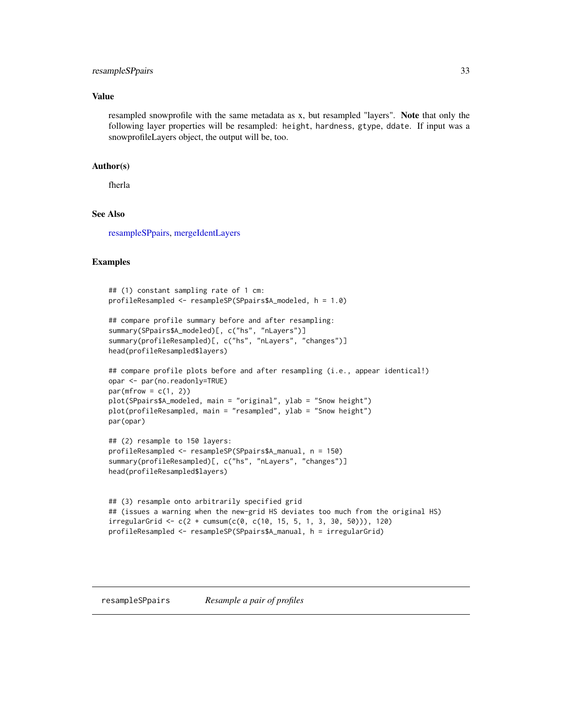# <span id="page-32-0"></span>resampleSPpairs 33

#### Value

resampled snowprofile with the same metadata as x, but resampled "layers". Note that only the following layer properties will be resampled: height, hardness, gtype, ddate. If input was a snowprofileLayers object, the output will be, too.

#### Author(s)

fherla

#### See Also

[resampleSPpairs,](#page-32-1) [mergeIdentLayers](#page-26-1)

#### Examples

```
## (1) constant sampling rate of 1 cm:
profileResampled <- resampleSP(SPpairs$A_modeled, h = 1.0)
## compare profile summary before and after resampling:
summary(SPpairs$A_modeled)[, c("hs", "nLayers")]
summary(profileResampled)[, c("hs", "nLayers", "changes")]
head(profileResampled$layers)
## compare profile plots before and after resampling (i.e., appear identical!)
opar <- par(no.readonly=TRUE)
par(mfrow = c(1, 2))plot(SPpairs$A_modeled, main = "original", ylab = "Snow height")
plot(profileResampled, main = "resampled", ylab = "Snow height")
par(opar)
## (2) resample to 150 layers:
profileResampled <- resampleSP(SPpairs$A_manual, n = 150)
summary(profileResampled)[, c("hs", "nLayers", "changes")]
head(profileResampled$layers)
## (3) resample onto arbitrarily specified grid
## (issues a warning when the new-grid HS deviates too much from the original HS)
irregularGrid < -c(2 + cumsum(c(0, c(10, 15, 5, 1, 3, 30, 50)))), 120)
```
profileResampled <- resampleSP(SPpairs\$A\_manual, h = irregularGrid)

<span id="page-32-1"></span>resampleSPpairs *Resample a pair of profiles*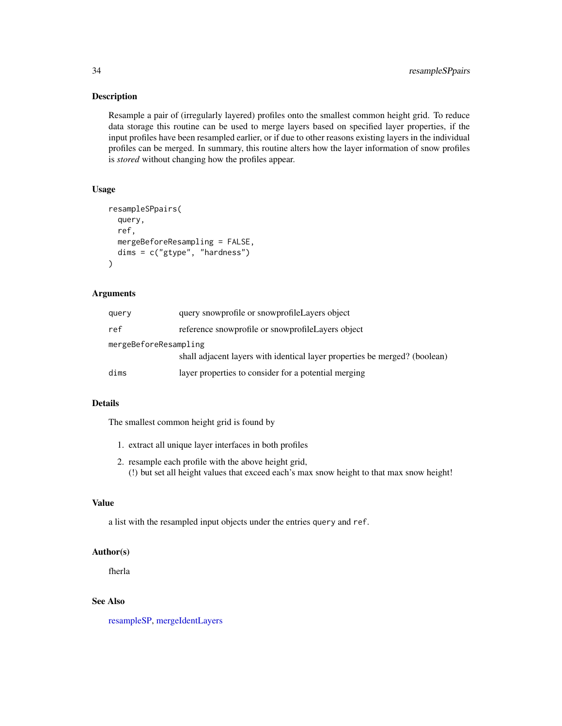# Description

Resample a pair of (irregularly layered) profiles onto the smallest common height grid. To reduce data storage this routine can be used to merge layers based on specified layer properties, if the input profiles have been resampled earlier, or if due to other reasons existing layers in the individual profiles can be merged. In summary, this routine alters how the layer information of snow profiles is *stored* without changing how the profiles appear.

#### Usage

```
resampleSPpairs(
  query,
  ref,
 mergeBeforeResampling = FALSE,
 dims = c("gtype", "hardness")
)
```
# Arguments

| query                 | query snowprofile or snowprofile Layers object                             |  |
|-----------------------|----------------------------------------------------------------------------|--|
| ref                   | reference snowprofile or snowprofile Layers object                         |  |
| mergeBeforeResampling | shall adjacent layers with identical layer properties be merged? (boolean) |  |
| dims                  | layer properties to consider for a potential merging                       |  |

# Details

The smallest common height grid is found by

- 1. extract all unique layer interfaces in both profiles
- 2. resample each profile with the above height grid, (!) but set all height values that exceed each's max snow height to that max snow height!

#### Value

a list with the resampled input objects under the entries query and ref.

#### Author(s)

fherla

# See Also

[resampleSP,](#page-31-1) [mergeIdentLayers](#page-26-1)

<span id="page-33-0"></span>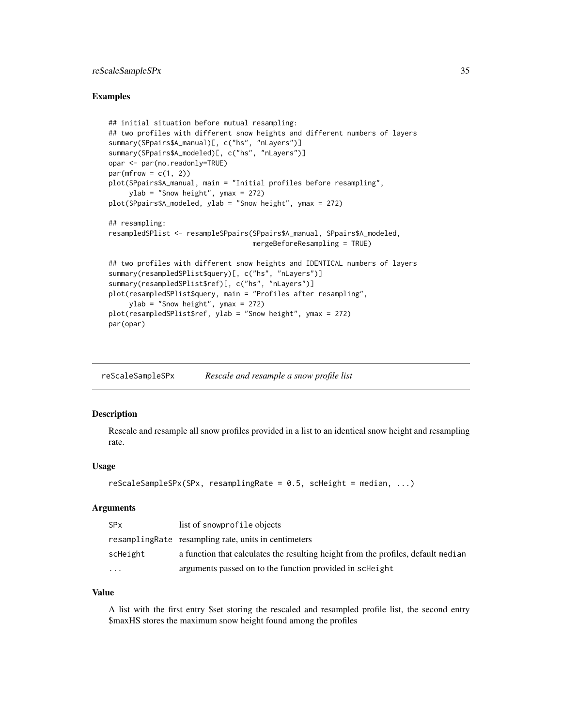# <span id="page-34-0"></span>reScaleSampleSPx 35

#### Examples

```
## initial situation before mutual resampling:
## two profiles with different snow heights and different numbers of layers
summary(SPpairs$A_manual)[, c("hs", "nLayers")]
summary(SPpairs$A_modeled)[, c("hs", "nLayers")]
opar <- par(no.readonly=TRUE)
par(mfrow = c(1, 2))plot(SPpairs$A_manual, main = "Initial profiles before resampling",
     ylab = "Snow height", ymax = 272)
plot(SPpairs$A_modeled, ylab = "Snow height", ymax = 272)
## resampling:
resampledSPlist <- resampleSPpairs(SPpairs$A_manual, SPpairs$A_modeled,
                                   mergeBeforeResampling = TRUE)
## two profiles with different snow heights and IDENTICAL numbers of layers
summary(resampledSPlist$query)[, c("hs", "nLayers")]
summary(resampledSPlist$ref)[, c("hs", "nLayers")]
plot(resampledSPlist$query, main = "Profiles after resampling",
     ylab = "Snow height", ymax = 272)
plot(resampledSPlist$ref, ylab = "Snow height", ymax = 272)
par(opar)
```
<span id="page-34-1"></span>

| reScaleSampleSPx | Rescale and resample a snow profile list |
|------------------|------------------------------------------|
|                  |                                          |

# Description

Rescale and resample all snow profiles provided in a list to an identical snow height and resampling rate.

#### Usage

```
rescalesampleSPx(SPx, resamplingRate = 0.5, scHeight = median, ...)
```
#### Arguments

| <b>SPx</b> | list of snowprofile objects                                                       |
|------------|-----------------------------------------------------------------------------------|
|            | resampling Rate resampling rate, units in centimeters                             |
| scHeight   | a function that calculates the resulting height from the profiles, default median |
| .          | arguments passed on to the function provided in scheight                          |

#### Value

A list with the first entry \$set storing the rescaled and resampled profile list, the second entry \$maxHS stores the maximum snow height found among the profiles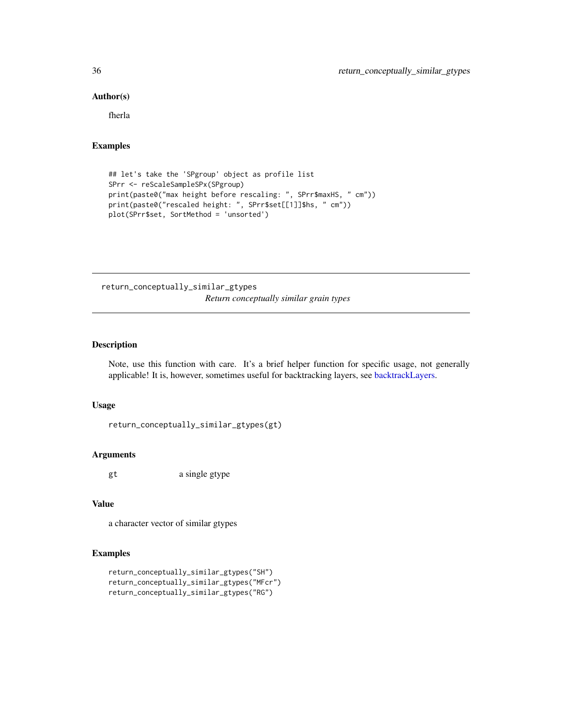#### Author(s)

fherla

# Examples

```
## let's take the 'SPgroup' object as profile list
SPrr <- reScaleSampleSPx(SPgroup)
print(paste0("max height before rescaling: ", SPrr$maxHS, " cm"))
print(paste0("rescaled height: ", SPrr$set[[1]]$hs, " cm"))
plot(SPrr$set, SortMethod = 'unsorted')
```
return\_conceptually\_similar\_gtypes *Return conceptually similar grain types*

#### Description

Note, use this function with care. It's a brief helper function for specific usage, not generally applicable! It is, however, sometimes useful for backtracking layers, see [backtrackLayers.](#page-9-1)

#### Usage

```
return_conceptually_similar_gtypes(gt)
```
#### Arguments

gt a single gtype

# Value

a character vector of similar gtypes

#### Examples

```
return_conceptually_similar_gtypes("SH")
return_conceptually_similar_gtypes("MFcr")
return_conceptually_similar_gtypes("RG")
```
<span id="page-35-0"></span>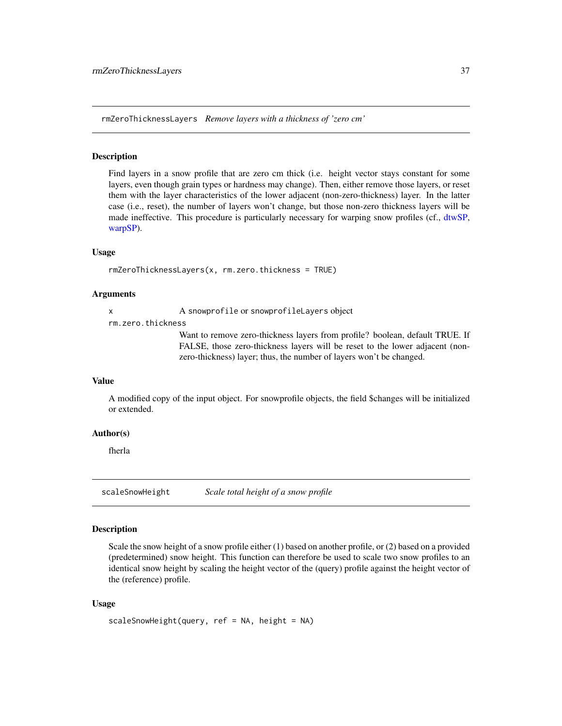<span id="page-36-0"></span>rmZeroThicknessLayers *Remove layers with a thickness of 'zero cm'*

#### Description

Find layers in a snow profile that are zero cm thick (i.e. height vector stays constant for some layers, even though grain types or hardness may change). Then, either remove those layers, or reset them with the layer characteristics of the lower adjacent (non-zero-thickness) layer. In the latter case (i.e., reset), the number of layers won't change, but those non-zero thickness layers will be made ineffective. This procedure is particularly necessary for warping snow profiles (cf., [dtwSP,](#page-15-1) [warpSP\)](#page-42-1).

#### Usage

```
rmZeroThicknessLayers(x, rm.zero.thickness = TRUE)
```
#### Arguments

x A snowprofile or snowprofileLayers object

rm.zero.thickness

Want to remove zero-thickness layers from profile? boolean, default TRUE. If FALSE, those zero-thickness layers will be reset to the lower adjacent (nonzero-thickness) layer; thus, the number of layers won't be changed.

#### Value

A modified copy of the input object. For snowprofile objects, the field \$changes will be initialized or extended.

# Author(s)

fherla

<span id="page-36-1"></span>scaleSnowHeight *Scale total height of a snow profile*

# **Description**

Scale the snow height of a snow profile either (1) based on another profile, or (2) based on a provided (predetermined) snow height. This function can therefore be used to scale two snow profiles to an identical snow height by scaling the height vector of the (query) profile against the height vector of the (reference) profile.

#### Usage

```
scaleSnowHeight(query, ref = NA, height = NA)
```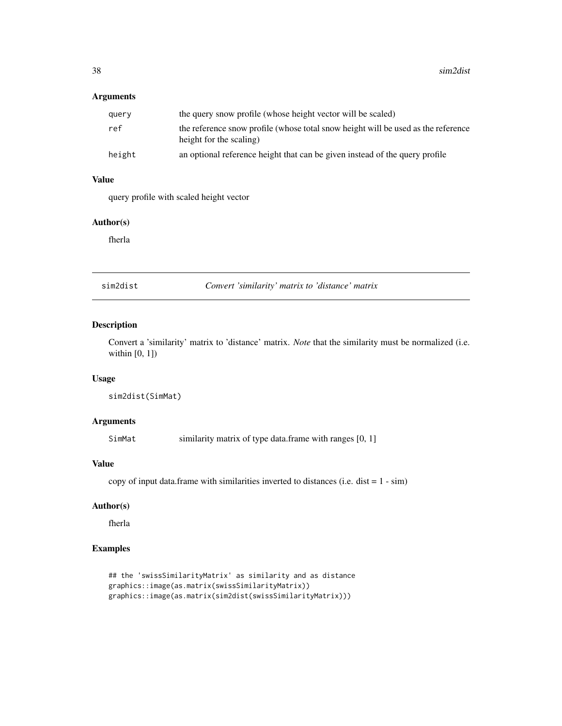# <span id="page-37-0"></span>Arguments

| query  | the query snow profile (whose height vector will be scaled)                                                  |
|--------|--------------------------------------------------------------------------------------------------------------|
| ref    | the reference snow profile (whose total snow height will be used as the reference<br>height for the scaling) |
| height | an optional reference height that can be given instead of the query profile                                  |

# Value

query profile with scaled height vector

# Author(s)

fherla

<span id="page-37-1"></span>sim2dist *Convert 'similarity' matrix to 'distance' matrix*

# Description

Convert a 'similarity' matrix to 'distance' matrix. *Note* that the similarity must be normalized (i.e. within [0, 1])

### Usage

```
sim2dist(SimMat)
```
#### Arguments

SimMat similarity matrix of type data.frame with ranges [0, 1]

# Value

copy of input data.frame with similarities inverted to distances (i.e. dist  $= 1 - \sin$ )

# Author(s)

fherla

# Examples

```
## the 'swissSimilarityMatrix' as similarity and as distance
graphics::image(as.matrix(swissSimilarityMatrix))
graphics::image(as.matrix(sim2dist(swissSimilarityMatrix)))
```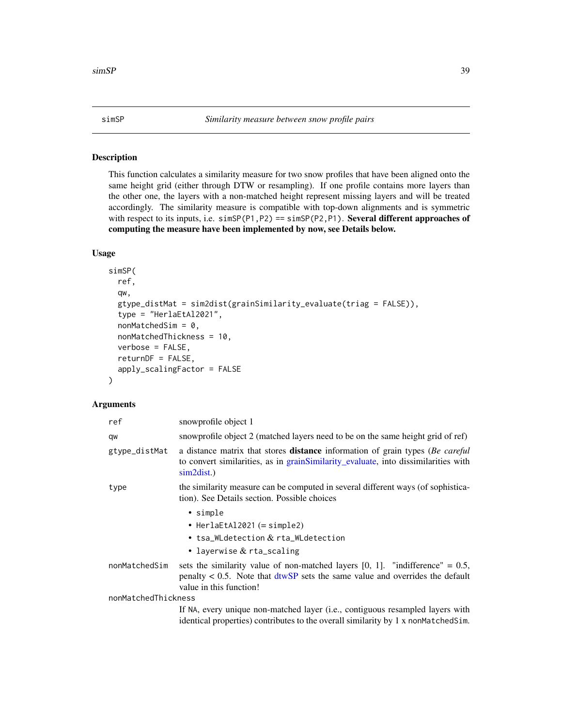#### <span id="page-38-1"></span><span id="page-38-0"></span>Description

This function calculates a similarity measure for two snow profiles that have been aligned onto the same height grid (either through DTW or resampling). If one profile contains more layers than the other one, the layers with a non-matched height represent missing layers and will be treated accordingly. The similarity measure is compatible with top-down alignments and is symmetric with respect to its inputs, i.e.  $\sin SP(P1, P2) = \sin SP(P2, P1)$ . Several different approaches of computing the measure have been implemented by now, see Details below.

#### Usage

```
simSP(
  ref,
  qw,
  gtype_distMat = sim2dist(grainSimilarity_evaluate(triag = FALSE)),
  type = "HerlaEtAl2021",
  nonMatchedSim = 0,
 nonMatchedThickness = 10,
  verbose = FALSE,
  returnDF = FALSE,
  apply_scalingFactor = FALSE
\lambda
```

| ref                 | snowprofile object 1                                                                                                                                                                                        |
|---------------------|-------------------------------------------------------------------------------------------------------------------------------------------------------------------------------------------------------------|
| qw                  | snowprofile object 2 (matched layers need to be on the same height grid of ref)                                                                                                                             |
| gtype_distMat       | a distance matrix that stores <b>distance</b> information of grain types (Be careful<br>to convert similarities, as in grain Similarity evaluate, into dissimilarities with<br>sim2dist.)                   |
| type                | the similarity measure can be computed in several different ways (of sophistica-<br>tion). See Details section. Possible choices                                                                            |
|                     | • simple                                                                                                                                                                                                    |
|                     | • Herla $EtAl2021 (= simple2)$                                                                                                                                                                              |
|                     | • tsa_WLdetection $\&$ rta_WLdetection                                                                                                                                                                      |
|                     | • layerwise $&$ rta_scaling                                                                                                                                                                                 |
| nonMatchedSim       | sets the similarity value of non-matched layers $[0, 1]$ . "indifference" = 0.5,<br>penalty $< 0.5$ . Note that $\frac{d(wSP)}{d}$ sets the same value and overrides the default<br>value in this function! |
| nonMatchedThickness |                                                                                                                                                                                                             |
|                     | If NA, every unique non-matched layer (i.e., contiguous resampled layers with<br>identical properties) contributes to the overall similarity by 1 x nonMatchedSim.                                          |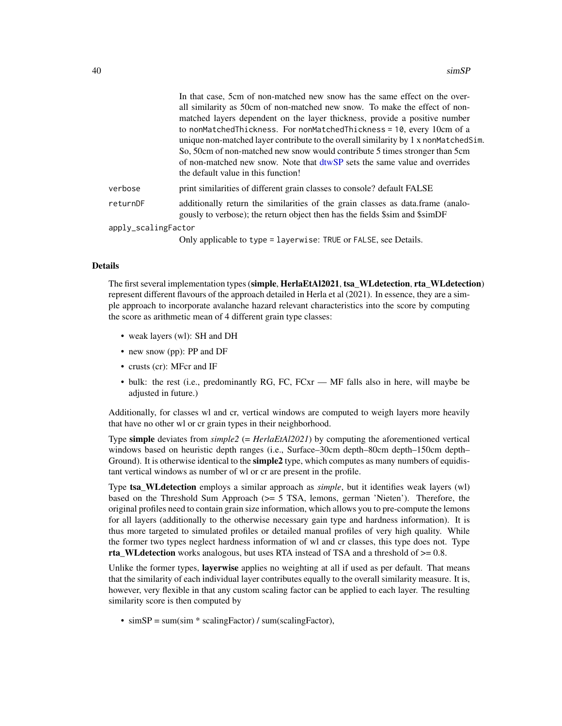<span id="page-39-0"></span>

#### Details

The first several implementation types (simple, HerlaEtAl2021, tsa\_WLdetection, rta\_WLdetection) represent different flavours of the approach detailed in Herla et al (2021). In essence, they are a simple approach to incorporate avalanche hazard relevant characteristics into the score by computing the score as arithmetic mean of 4 different grain type classes:

- weak layers (wl): SH and DH
- new snow (pp): PP and DF
- crusts (cr): MFcr and IF
- bulk: the rest (i.e., predominantly RG, FC, FCxr MF falls also in here, will maybe be adjusted in future.)

Additionally, for classes wl and cr, vertical windows are computed to weigh layers more heavily that have no other wl or cr grain types in their neighborhood.

Type simple deviates from *simple2* (= *HerlaEtAl2021*) by computing the aforementioned vertical windows based on heuristic depth ranges (i.e., Surface–30cm depth–80cm depth–150cm depth– Ground). It is otherwise identical to the **simple2** type, which computes as many numbers of equidistant vertical windows as number of wl or cr are present in the profile.

Type tsa\_WLdetection employs a similar approach as *simple*, but it identifies weak layers (wl) based on the Threshold Sum Approach (>= 5 TSA, lemons, german 'Nieten'). Therefore, the original profiles need to contain grain size information, which allows you to pre-compute the lemons for all layers (additionally to the otherwise necessary gain type and hardness information). It is thus more targeted to simulated profiles or detailed manual profiles of very high quality. While the former two types neglect hardness information of wl and cr classes, this type does not. Type rta\_WLdetection works analogous, but uses RTA instead of TSA and a threshold of  $>= 0.8$ .

Unlike the former types, layerwise applies no weighting at all if used as per default. That means that the similarity of each individual layer contributes equally to the overall similarity measure. It is, however, very flexible in that any custom scaling factor can be applied to each layer. The resulting similarity score is then computed by

• simSP = sum(sim \* scalingFactor) / sum(scalingFactor),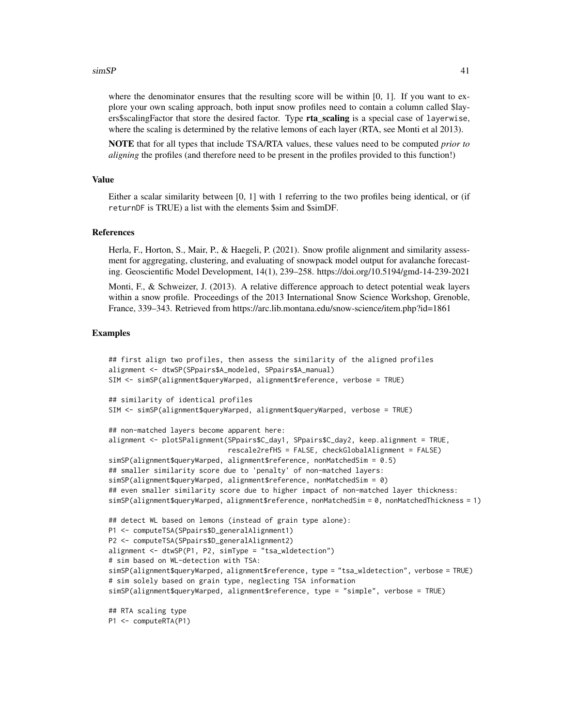#### $s$ imSP 41

where the denominator ensures that the resulting score will be within [0, 1]. If you want to explore your own scaling approach, both input snow profiles need to contain a column called \$layers\$scalingFactor that store the desired factor. Type **rta scaling** is a special case of layerwise, where the scaling is determined by the relative lemons of each layer (RTA, see Monti et al 2013).

NOTE that for all types that include TSA/RTA values, these values need to be computed *prior to aligning* the profiles (and therefore need to be present in the profiles provided to this function!)

#### Value

Either a scalar similarity between [0, 1] with 1 referring to the two profiles being identical, or (if returnDF is TRUE) a list with the elements \$sim and \$simDF.

#### References

Herla, F., Horton, S., Mair, P., & Haegeli, P. (2021). Snow profile alignment and similarity assessment for aggregating, clustering, and evaluating of snowpack model output for avalanche forecasting. Geoscientific Model Development, 14(1), 239–258. https://doi.org/10.5194/gmd-14-239-2021

Monti, F., & Schweizer, J. (2013). A relative difference approach to detect potential weak layers within a snow profile. Proceedings of the 2013 International Snow Science Workshop, Grenoble, France, 339–343. Retrieved from https://arc.lib.montana.edu/snow-science/item.php?id=1861

#### Examples

```
## first align two profiles, then assess the similarity of the aligned profiles
alignment <- dtwSP(SPpairs$A_modeled, SPpairs$A_manual)
SIM <- simSP(alignment$queryWarped, alignment$reference, verbose = TRUE)
## similarity of identical profiles
SIM <- simSP(alignment$queryWarped, alignment$queryWarped, verbose = TRUE)
## non-matched layers become apparent here:
alignment <- plotSPalignment(SPpairs$C_day1, SPpairs$C_day2, keep.alignment = TRUE,
                             rescale2refHS = FALSE, checkGlobalAlignment = FALSE)
simSP(alignment$queryWarped, alignment$reference, nonMatchedSim = 0.5)
## smaller similarity score due to 'penalty' of non-matched layers:
simSP(alignment$queryWarped, alignment$reference, nonMatchedSim = 0)
## even smaller similarity score due to higher impact of non-matched layer thickness:
simSP(alignment$queryWarped, alignment$reference, nonMatchedSim = 0, nonMatchedThickness = 1)
## detect WL based on lemons (instead of grain type alone):
P1 <- computeTSA(SPpairs$D_generalAlignment1)
P2 <- computeTSA(SPpairs$D_generalAlignment2)
alignment <- dtwSP(P1, P2, simType = "tsa_wldetection")
# sim based on WL-detection with TSA:
simSP(alignment$queryWarped, alignment$reference, type = "tsa_wldetection", verbose = TRUE)
# sim solely based on grain type, neglecting TSA information
simSP(alignment$queryWarped, alignment$reference, type = "simple", verbose = TRUE)
## RTA scaling type
P1 <- computeRTA(P1)
```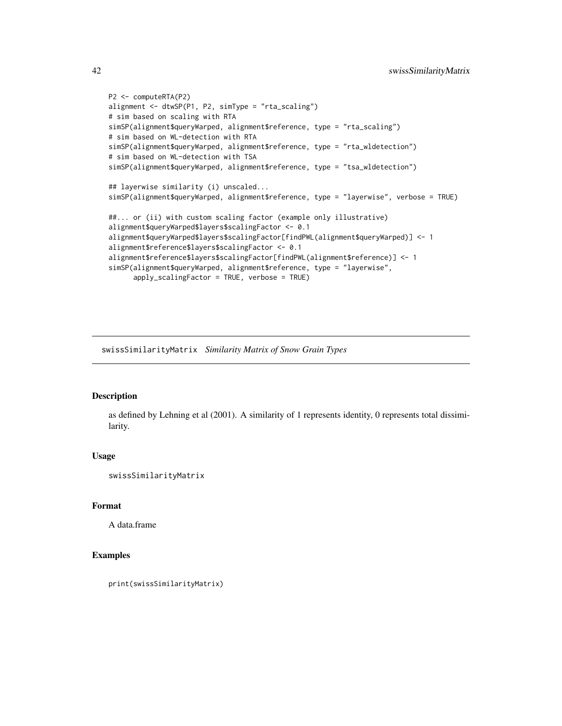```
P2 <- computeRTA(P2)
alignment <- dtwSP(P1, P2, simType = "rta_scaling")
# sim based on scaling with RTA
simSP(alignment$queryWarped, alignment$reference, type = "rta_scaling")
# sim based on WL-detection with RTA
simSP(alignment$queryWarped, alignment$reference, type = "rta_wldetection")
# sim based on WL-detection with TSA
simSP(alignment$queryWarped, alignment$reference, type = "tsa_wldetection")
## layerwise similarity (i) unscaled...
simSP(alignment$queryWarped, alignment$reference, type = "layerwise", verbose = TRUE)
##... or (ii) with custom scaling factor (example only illustrative)
alignment$queryWarped$layers$scalingFactor <- 0.1
alignment$queryWarped$layers$scalingFactor[findPWL(alignment$queryWarped)] <- 1
alignment$reference$layers$scalingFactor <- 0.1
alignment$reference$layers$scalingFactor[findPWL(alignment$reference)] <- 1
simSP(alignment$queryWarped, alignment$reference, type = "layerwise",
      apply_scalingFactor = TRUE, verbose = TRUE)
```
swissSimilarityMatrix *Similarity Matrix of Snow Grain Types*

#### Description

as defined by Lehning et al (2001). A similarity of 1 represents identity, 0 represents total dissimilarity.

#### Usage

swissSimilarityMatrix

#### Format

A data.frame

#### Examples

print(swissSimilarityMatrix)

<span id="page-41-0"></span>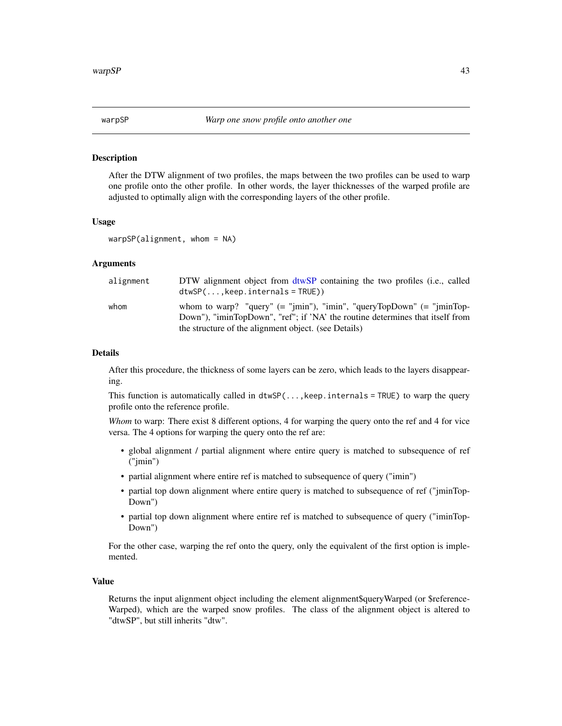<span id="page-42-1"></span><span id="page-42-0"></span>

#### Description

After the DTW alignment of two profiles, the maps between the two profiles can be used to warp one profile onto the other profile. In other words, the layer thicknesses of the warped profile are adjusted to optimally align with the corresponding layers of the other profile.

#### Usage

```
warpsP(alignment, whom = NA)
```
#### Arguments

| alignment | DTW alignment object from dtwSP containing the two profiles (i.e., called<br>$dtwSP($ , keep. internals = TRUE)                       |
|-----------|---------------------------------------------------------------------------------------------------------------------------------------|
| whom      | Down"), "iminTopDown", "ref"; if 'NA' the routine determines that itself from<br>the structure of the alignment object. (see Details) |

#### Details

After this procedure, the thickness of some layers can be zero, which leads to the layers disappearing.

This function is automatically called in  $dtwSP(\ldots, keep \text{internals = TRUE})$  to warp the query profile onto the reference profile.

*Whom* to warp: There exist 8 different options, 4 for warping the query onto the ref and 4 for vice versa. The 4 options for warping the query onto the ref are:

- global alignment / partial alignment where entire query is matched to subsequence of ref ("jmin")
- partial alignment where entire ref is matched to subsequence of query ("imin")
- partial top down alignment where entire query is matched to subsequence of ref ("jminTop-Down")
- partial top down alignment where entire ref is matched to subsequence of query ("iminTop-Down")

For the other case, warping the ref onto the query, only the equivalent of the first option is implemented.

#### Value

Returns the input alignment object including the element alignment\$queryWarped (or \$reference-Warped), which are the warped snow profiles. The class of the alignment object is altered to "dtwSP", but still inherits "dtw".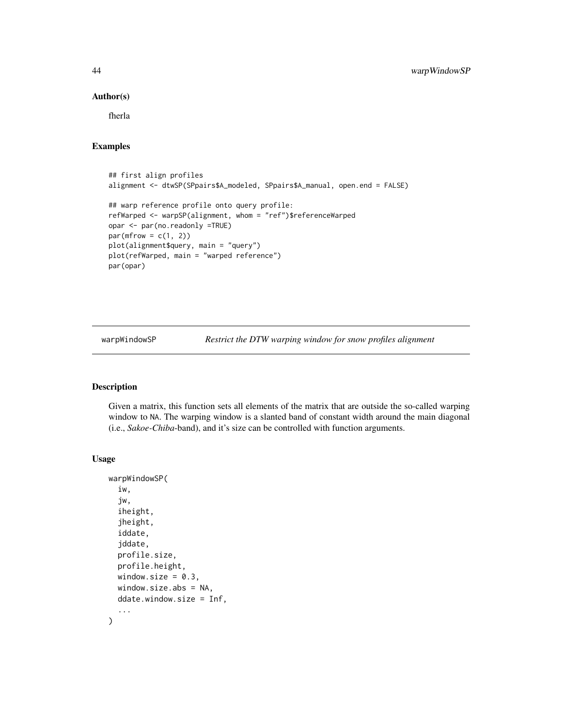#### <span id="page-43-0"></span>Author(s)

fherla

# Examples

```
## first align profiles
alignment <- dtwSP(SPpairs$A_modeled, SPpairs$A_manual, open.end = FALSE)
## warp reference profile onto query profile:
refWarped <- warpSP(alignment, whom = "ref")$referenceWarped
opar <- par(no.readonly =TRUE)
par(mfrow = c(1, 2))plot(alignment$query, main = "query")
plot(refWarped, main = "warped reference")
par(opar)
```
<span id="page-43-1"></span>warpWindowSP *Restrict the DTW warping window for snow profiles alignment*

#### Description

Given a matrix, this function sets all elements of the matrix that are outside the so-called warping window to NA. The warping window is a slanted band of constant width around the main diagonal (i.e., *Sakoe-Chiba*-band), and it's size can be controlled with function arguments.

#### Usage

```
warpWindowSP(
  iw,
  jw,
  iheight,
  jheight,
  iddate,
  jddate,
 profile.size,
  profile.height,
  window.size = 0.3,
  window.size.abs = NA,
  ddate.window.size = Inf,
  ...
\mathcal{L}
```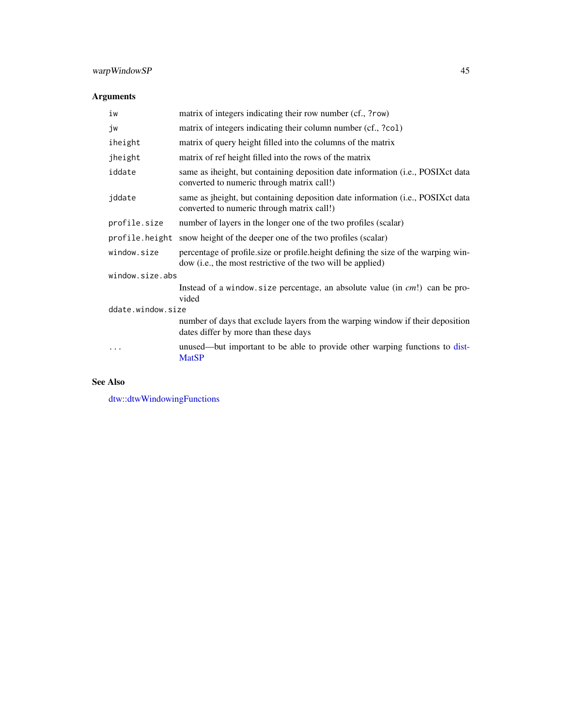# <span id="page-44-0"></span>warpWindowSP 45

# Arguments

| iw                | matrix of integers indicating their row number (cf., ?row)                                                                                        |  |
|-------------------|---------------------------------------------------------------------------------------------------------------------------------------------------|--|
| jw                | matrix of integers indicating their column number (cf., ?co1)                                                                                     |  |
| iheight           | matrix of query height filled into the columns of the matrix                                                                                      |  |
| jheight           | matrix of ref height filled into the rows of the matrix                                                                                           |  |
| iddate            | same as iheight, but containing deposition date information (i.e., POSIX ct data<br>converted to numeric through matrix call!)                    |  |
| jddate            | same as jheight, but containing deposition date information (i.e., POSIXct data<br>converted to numeric through matrix call!)                     |  |
| profile.size      | number of layers in the longer one of the two profiles (scalar)                                                                                   |  |
| profile.height    | snow height of the deeper one of the two profiles (scalar)                                                                                        |  |
| window.size       | percentage of profile size or profile height defining the size of the warping win-<br>dow (i.e., the most restrictive of the two will be applied) |  |
| window.size.abs   |                                                                                                                                                   |  |
|                   | Instead of a window size percentage, an absolute value (in $cm!)$ can be pro-<br>vided                                                            |  |
| ddate.window.size |                                                                                                                                                   |  |
|                   | number of days that exclude layers from the warping window if their deposition<br>dates differ by more than these days                            |  |
|                   | unused—but important to be able to provide other warping functions to dist-<br><b>MatSP</b>                                                       |  |

# See Also

[dtw::dtwWindowingFunctions](#page-0-0)